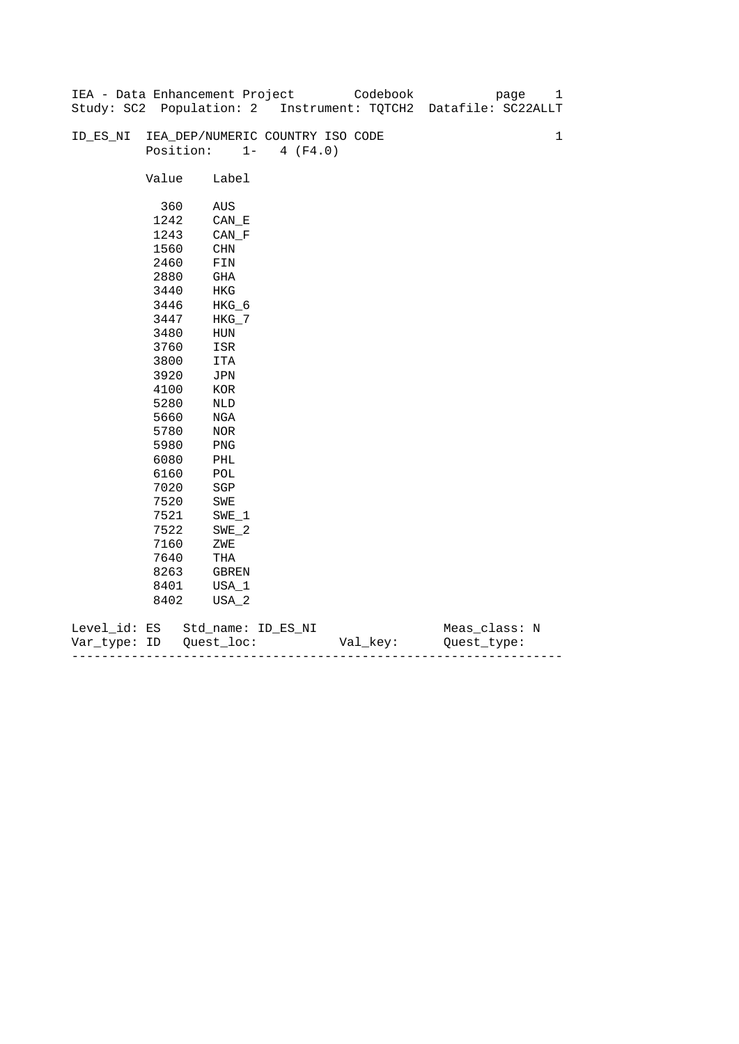|              |       | IEA - Data Enhancement Project   |                   | Codebook | 1<br>page                                                      |
|--------------|-------|----------------------------------|-------------------|----------|----------------------------------------------------------------|
|              |       |                                  |                   |          | Study: SC2 Population: 2 Instrument: TQTCH2 Datafile: SC22ALLT |
|              |       |                                  |                   |          |                                                                |
| ID_ES_NI     |       | IEA_DEP/NUMERIC COUNTRY ISO CODE |                   |          | $\mathbf 1$                                                    |
|              |       | Position:                        | $1 -$<br>4 (F4.0) |          |                                                                |
|              |       |                                  |                   |          |                                                                |
|              | Value | Label                            |                   |          |                                                                |
|              |       |                                  |                   |          |                                                                |
|              | 360   | AUS                              |                   |          |                                                                |
|              | 1242  | CAN E                            |                   |          |                                                                |
|              | 1243  | $CAN_F$                          |                   |          |                                                                |
|              | 1560  | CHN                              |                   |          |                                                                |
|              | 2460  | FIN                              |                   |          |                                                                |
|              | 2880  | GHA                              |                   |          |                                                                |
|              | 3440  | HKG                              |                   |          |                                                                |
|              | 3446  | HKG_6                            |                   |          |                                                                |
|              | 3447  | $HKG_7$                          |                   |          |                                                                |
|              | 3480  | ${\tt HUN}$                      |                   |          |                                                                |
|              | 3760  | ISR                              |                   |          |                                                                |
|              | 3800  | ITA                              |                   |          |                                                                |
|              | 3920  | JPN                              |                   |          |                                                                |
|              | 4100  | $_{\rm KOR}$                     |                   |          |                                                                |
|              | 5280  | NLD                              |                   |          |                                                                |
|              | 5660  | NGA                              |                   |          |                                                                |
|              | 5780  | NOR                              |                   |          |                                                                |
|              | 5980  | PNG                              |                   |          |                                                                |
|              | 6080  | PHL                              |                   |          |                                                                |
|              | 6160  | $\mathtt{POL}$                   |                   |          |                                                                |
|              | 7020  | $_{\rm SGP}$                     |                   |          |                                                                |
|              | 7520  | SWE                              |                   |          |                                                                |
|              | 7521  | $SWE_1$                          |                   |          |                                                                |
|              | 7522  | $SWE_2$                          |                   |          |                                                                |
|              | 7160  | ZWE                              |                   |          |                                                                |
|              | 7640  | THA                              |                   |          |                                                                |
|              | 8263  | GBREN                            |                   |          |                                                                |
|              | 8401  | USA_1                            |                   |          |                                                                |
|              | 8402  | USA_2                            |                   |          |                                                                |
|              |       |                                  |                   |          |                                                                |
| Level_id: ES |       | Std_name: ID_ES_NI               |                   |          | Meas_class: N                                                  |

| Var<br>тvpe.<br>. | TΡ | $ -$ | - |
|-------------------|----|------|---|
|                   |    |      |   |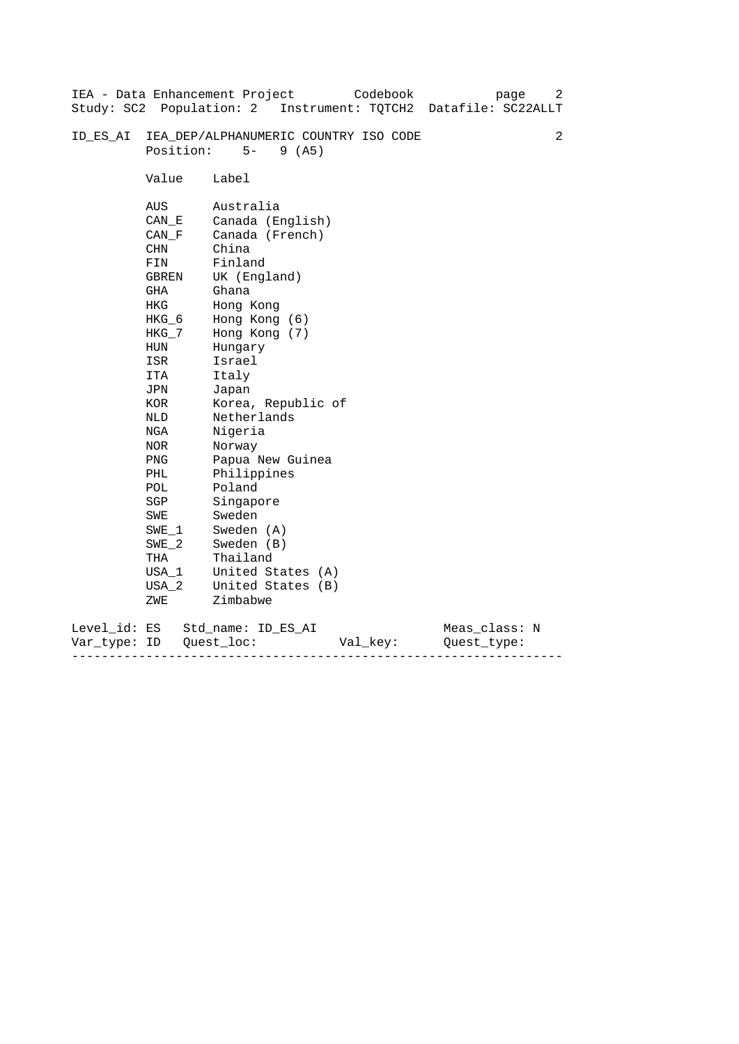|                           |                                                                                                                                                                                                               | Codebook<br>IEA - Data Enhancement Project<br>page<br>Study: SC2 Population: 2 Instrument: TQTCH2 Datafile: SC22ALLT                                                                                                                                                                                                                                      | 2 |
|---------------------------|---------------------------------------------------------------------------------------------------------------------------------------------------------------------------------------------------------------|-----------------------------------------------------------------------------------------------------------------------------------------------------------------------------------------------------------------------------------------------------------------------------------------------------------------------------------------------------------|---|
| ID ES AI                  | Position:                                                                                                                                                                                                     | IEA_DEP/ALPHANUMERIC COUNTRY ISO CODE<br>$5 -$<br>9(AB)                                                                                                                                                                                                                                                                                                   | 2 |
|                           | Value                                                                                                                                                                                                         | Label                                                                                                                                                                                                                                                                                                                                                     |   |
|                           | AUS<br>CAN E<br>CAN F<br>CHN<br>FIN<br><b>GBREN</b><br>GHA<br>HKG<br>$HKG_6$<br>HKG_7<br>HUN<br>ISR<br>ITA<br>JPN<br>KOR<br>NLD<br>NGA<br>NOR<br>PNG<br>PHL<br>POL<br>SGP<br>SWE<br>$SWE_1$<br>$SWE_2$<br>THA | Australia<br>Canada (English)<br>Canada (French)<br>China<br>Finland<br>UK (England)<br>Ghana<br>Hong Kong<br>Hong Kong (6)<br>Hong Kong (7)<br>Hungary<br>Israel<br>Italy<br>Japan<br>Korea, Republic of<br>Netherlands<br>Nigeria<br>Norway<br>Papua New Guinea<br>Philippines<br>Poland<br>Singapore<br>Sweden<br>Sweden (A)<br>Sweden (B)<br>Thailand |   |
|                           | USA 1<br>USA 2<br>ZWE                                                                                                                                                                                         | United States (A)<br>United States (B)<br>Zimbabwe                                                                                                                                                                                                                                                                                                        |   |
| Level_id: ES<br>Var_type: | ID                                                                                                                                                                                                            | Meas_class: N<br>Std name: ID ES AI<br>Quest loc:<br>Val_key:<br>Ouest type:                                                                                                                                                                                                                                                                              |   |

------------------------------------------------------------------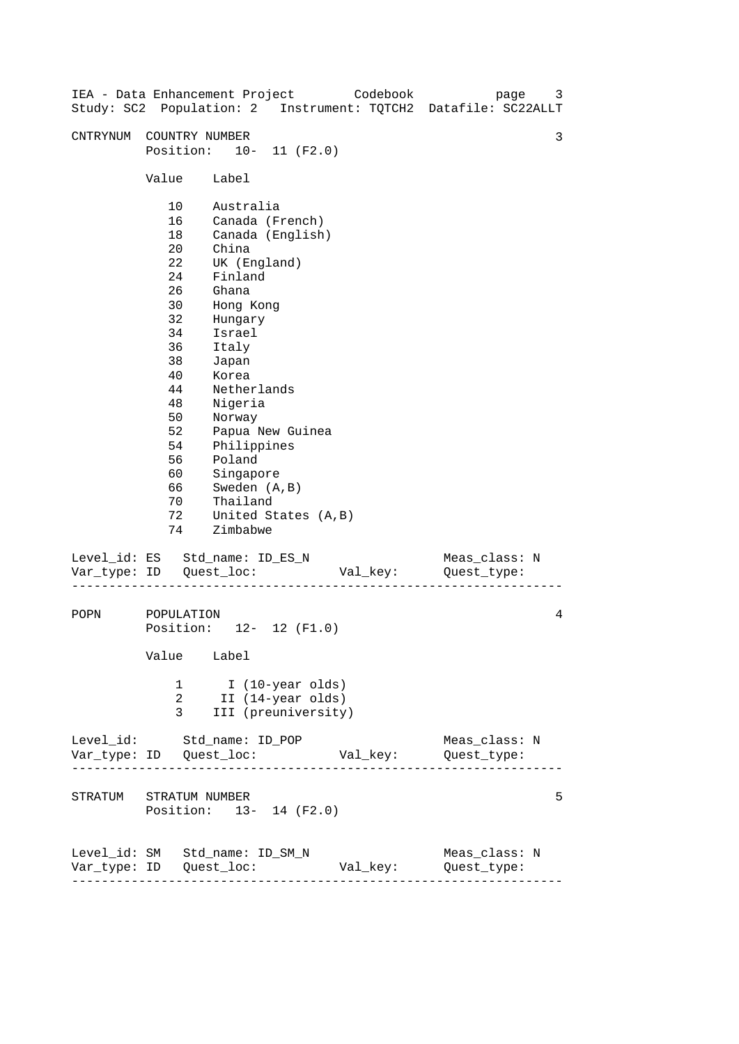| IEA - Data Enhancement Project Codebook |                                                                                                                                  |                                                                                                                                                                                                                                               |                                                              |          | page<br>Study: SC2 Population: 2 Instrument: TQTCH2 Datafile: SC22ALLT | 3 |
|-----------------------------------------|----------------------------------------------------------------------------------------------------------------------------------|-----------------------------------------------------------------------------------------------------------------------------------------------------------------------------------------------------------------------------------------------|--------------------------------------------------------------|----------|------------------------------------------------------------------------|---|
| CNTRYNUM                                | COUNTRY NUMBER<br>Position: 10- 11 (F2.0)                                                                                        |                                                                                                                                                                                                                                               |                                                              |          |                                                                        | 3 |
|                                         | Value                                                                                                                            | Label                                                                                                                                                                                                                                         |                                                              |          |                                                                        |   |
|                                         | 10<br>16<br>18<br>20<br>22<br>24<br>26<br>30<br>32<br>34<br>36<br>38<br>40<br>44<br>48<br>50<br>52<br>54<br>56<br>60<br>66<br>70 | Australia<br>Canada (French)<br>China<br>UK (England)<br>Finland<br>Ghana<br>Hong Kong<br>Hungary<br>Israel<br>Italy<br>Japan<br>Korea<br>Netherlands<br>Nigeria<br>Norway<br>Philippines<br>Poland<br>Singapore<br>Sweden (A, B)<br>Thailand | Canada (English)<br>Papua New Guinea                         |          |                                                                        |   |
|                                         | 72<br>74                                                                                                                         | Zimbabwe                                                                                                                                                                                                                                      | United States (A, B)                                         |          |                                                                        |   |
| Level_id: ES Std_name: ID_ES_N          |                                                                                                                                  |                                                                                                                                                                                                                                               |                                                              | Val_key: | Meas_class: N<br>Quest_type:                                           |   |
| POPN                                    | POPULATION<br>Position: 12- 12 (F1.0)<br>Value Label                                                                             |                                                                                                                                                                                                                                               |                                                              |          |                                                                        | 4 |
|                                         | 1<br>2<br>3                                                                                                                      |                                                                                                                                                                                                                                               | I (10-year olds)<br>II (14-year olds)<br>III (preuniversity) |          |                                                                        |   |
| Level_id: Std_name: ID_POP              |                                                                                                                                  |                                                                                                                                                                                                                                               |                                                              |          | Meas_class: N                                                          |   |
| STRATUM STRATUM NUMBER                  | Position: 13- 14 (F2.0)                                                                                                          |                                                                                                                                                                                                                                               |                                                              |          |                                                                        | 5 |
| Level_id: SM Std_name: ID_SM_N          | ---------------------                                                                                                            |                                                                                                                                                                                                                                               |                                                              | Val_key: | Meas_class: N<br>Quest_type:                                           |   |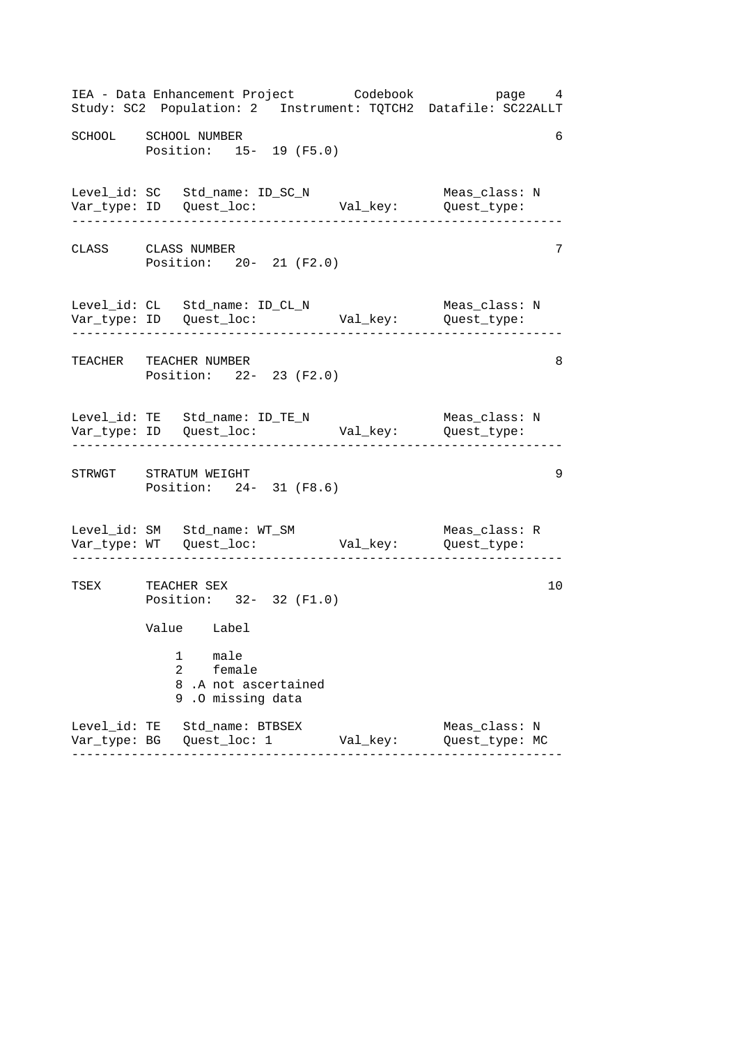|                      | IEA - Data Enhancement Project Codebook bage 4<br>Study: SC2 Population: 2 Instrument: TQTCH2 Datafile: SC22ALLT  |          |                                                        |    |
|----------------------|-------------------------------------------------------------------------------------------------------------------|----------|--------------------------------------------------------|----|
| SCHOOL SCHOOL NUMBER | Position: 15- 19 (F5.0)                                                                                           |          |                                                        | 6  |
|                      | Level_id: SC Std_name: ID_SC_N<br>Var_type: ID Quest_loc:                                                         |          | Meas_class: N<br>Val_key: Quest_type:<br>------------- |    |
| CLASS CLASS NUMBER   | Position: 20- 21 (F2.0)                                                                                           |          |                                                        | 7  |
|                      | Level_id: CL Std_name: ID_CL_N Meas_class: 1<br>Var_type: ID Quest_loc: Val_key: Quest_type:                      |          | Meas_class: N                                          |    |
|                      | TEACHER TEACHER NUMBER<br>Position: 22- 23 (F2.0)                                                                 |          |                                                        | 8  |
|                      | Level_id: TE Std_name: ID_TE_N                                                                                    |          | Meas_class: N<br>_____________________                 |    |
|                      | STRWGT STRATUM WEIGHT<br>Position: 24- 31 (F8.6)                                                                  |          |                                                        | 9  |
|                      | Level_id: SM Std_name: WT_SM                                                                                      |          | Meas_class: R                                          |    |
| TSEX TEACHER SEX     | Position: 32- 32 (F1.0)<br>Value Label<br>male<br>1<br>2<br>female<br>8.A not ascertained<br>.0 missing data<br>9 |          |                                                        | 10 |
|                      | Level_id: TE Std_name: BTBSEX                                                                                     | Val_key: | Meas_class: N<br>Quest_type: MC                        |    |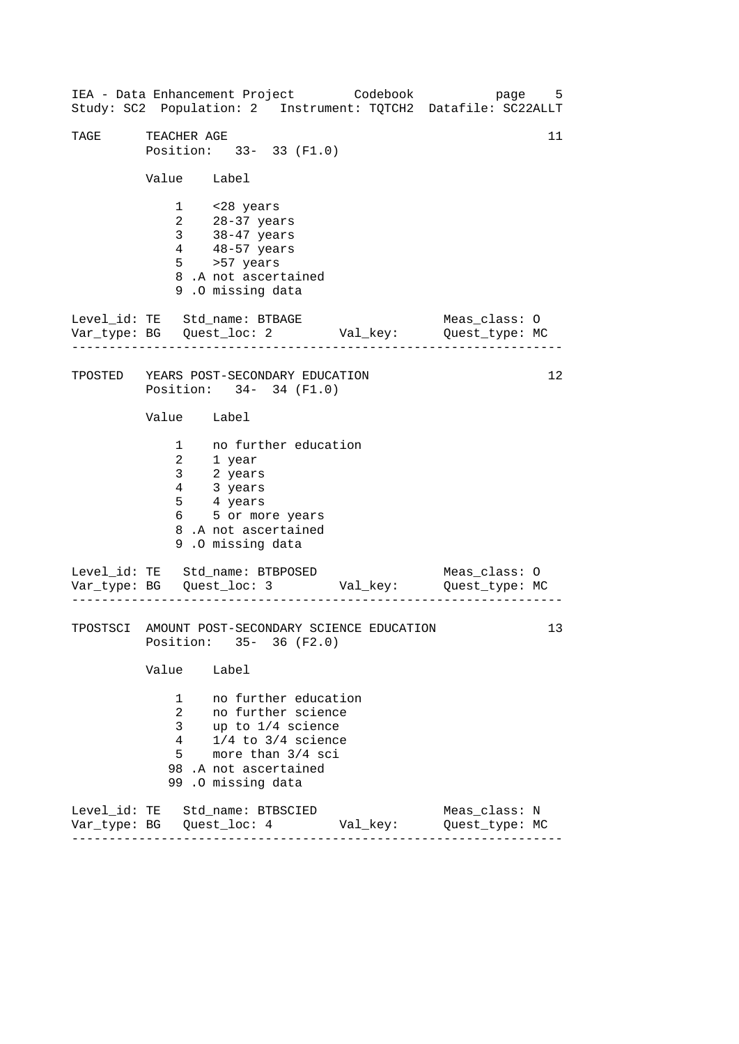------------------------------------------------------------------ ------------------------------------------------------------------ ------------------------------------------------------------------ IEA - Data Enhancement Project Codebook page 5 Study: SC2 Population: 2 Instrument: TQTCH2 Datafile: SC22ALLT TAGE TEACHER AGE 11 Position: 33- 33 (F1.0) Value Label 1 <28 years 2 28-37 years 3 38-47 years 4 48-57 years 5 >57 years 8 .A not ascertained 9 .O missing data Level\_id: TE Std\_name: BTBAGE Meas\_class: O Var\_type: BG Quest\_loc: 2 Val\_key: Quest\_type: MC TPOSTED YEARS POST-SECONDARY EDUCATION Position: 34- 34 (F1.0) Value Label 1 no further education 2 1 year 3 2 years 4 3 years 5 4 years 6 5 or more years 8 .A not ascertained 9 .O missing data Level\_id: TE Std\_name: BTBPOSED Meas\_class: 0 Var\_type: BG Quest\_loc: 3 Val\_key: Quest\_type: MC TPOSTSCI AMOUNT POST-SECONDARY SCIENCE EDUCATION Position: 35- 36 (F2.0) Value Label 1 no further education 2 no further science 3 up to 1/4 science 4 1/4 to 3/4 science 5 more than 3/4 sci 98 .A not ascertained 99 .O missing data Level\_id: TE Std\_name: BTBSCIED Meas\_class: N Var\_type: BG Quest\_loc: 4 Val\_key: Quest\_type: MC 12 13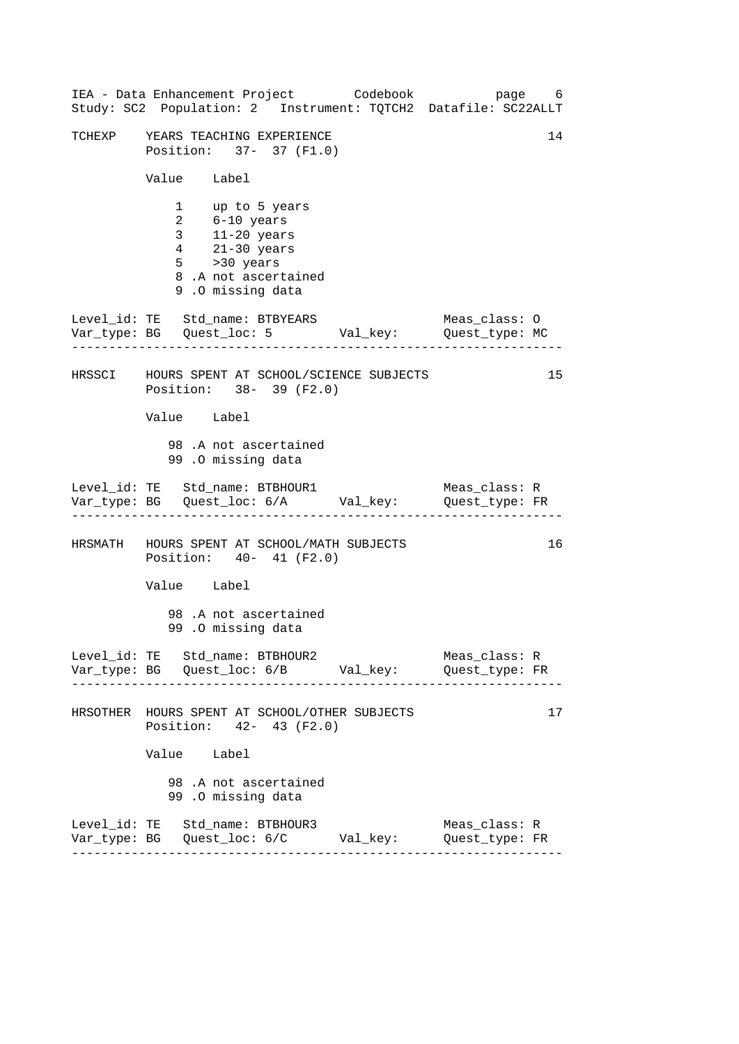| IEA - Data Enhancement Project Codebook<br>Study: SC2 Population: 2 Instrument: TQTCH2 Datafile: SC22ALLT                                        | page 6                          |    |
|--------------------------------------------------------------------------------------------------------------------------------------------------|---------------------------------|----|
| TCHEXP YEARS TEACHING EXPERIENCE<br>Position: 37- 37 (F1.0)                                                                                      |                                 | 14 |
| Value Label                                                                                                                                      |                                 |    |
| 1 up to 5 years<br>2 6-10 years<br>3 11-20 years<br>4 21-30 years<br>$5 \rightarrow 30 \text{ years}$<br>8.A not ascertained<br>9.0 missing data |                                 |    |
| Level_id: TE Std_name: BTBYEARS<br>Var_type: BG    Quest_loc: 5    Val_key:    Quest_type: MC<br>. _ _ _ _ _ _ _ _ _ _ _ _ _ _                   | Meas_class: O                   |    |
| HRSSCI HOURS SPENT AT SCHOOL/SCIENCE SUBJECTS<br>Position: 38- 39 (F2.0)                                                                         |                                 | 15 |
| Value Label                                                                                                                                      |                                 |    |
| 98.A not ascertained<br>99.0 missing data                                                                                                        |                                 |    |
| Level_id: TE Std_name: BTBHOUR1 Meas_class: R<br>Var_type: BG Quest_loc: 6/A Val_key: Quest_type: FR                                             |                                 |    |
| HRSMATH HOURS SPENT AT SCHOOL/MATH SUBJECTS<br>Position: 40- 41 (F2.0)                                                                           |                                 | 16 |
| Value Label                                                                                                                                      |                                 |    |
| 98.A not ascertained<br>99.0 missing data                                                                                                        |                                 |    |
| Level_id: TE Std_name: BTBHOUR2                                                                                                                  | Meas_class: R<br>Quest_type: FR |    |
| HRSOTHER HOURS SPENT AT SCHOOL/OTHER SUBJECTS<br>Position: 42- 43 (F2.0)                                                                         |                                 | 17 |
| Value Label                                                                                                                                      |                                 |    |
| 98.A not ascertained<br>99.0 missing data                                                                                                        |                                 |    |
| Level_id: TE Std_name: BTBHOUR3<br>Var_type: BG    Quest_loc: 6/C    Val_key:    Quest_type: FR                                                  | Meas_class: R                   |    |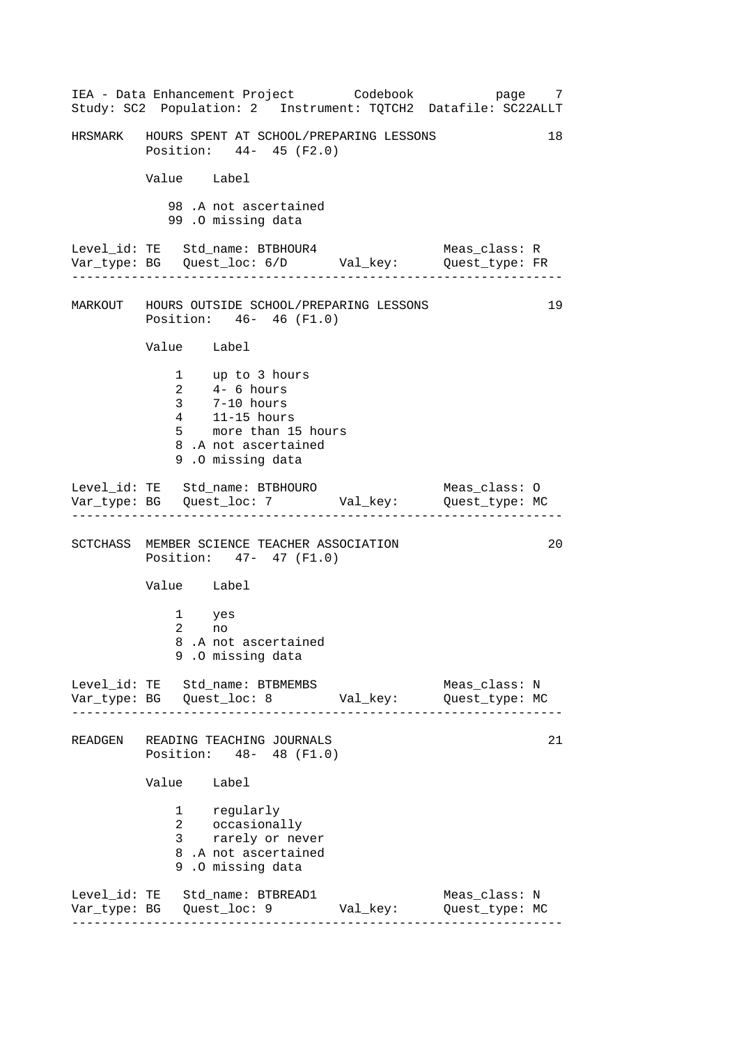------------------------------------------------------------------ ------------------------------------------------------------------ ------------------------------------------------------------------ ------------------------------------------------------------------ IEA - Data Enhancement Project Codebook page 7 Study: SC2 Population: 2 Instrument: TQTCH2 Datafile: SC22ALLT HRSMARK HOURS SPENT AT SCHOOL/PREPARING LESSONS 18 Position: 44- 45 (F2.0) Value Label 98 .A not ascertained 99 .O missing data Level\_id: TE Std\_name: BTBHOUR4 Meas\_class: R Var\_type: BG Quest\_loc: 6/D Val\_key: Quest\_type: FR MARKOUT HOURS OUTSIDE SCHOOL/PREPARING LESSONS 19 Position: 46- 46 (F1.0) Value Label 1 up to 3 hours 2 4- 6 hours 3 7-10 hours 4 11-15 hours 5 more than 15 hours 8 .A not ascertained 9 .O missing data Level\_id: TE Std\_name: BTBHOURO Meas\_class: 0 Var\_type: BG Quest\_loc: 7 Val\_key: Quest\_type: MC SCTCHASS MEMBER SCIENCE TEACHER ASSOCIATION 20 Position: 47- 47 (F1.0) Value Label 1 yes 2 no 8 .A not ascertained 9 .O missing data Level\_id: TE Std\_name: BTBMEMBS Meas\_class: N Var\_type: BG Quest\_loc: 8 Val\_key: Quest\_type: MC READGEN READING TEACHING JOURNALS 21 Position: 48- 48 (F1.0) Value Label 1 regularly 2 occasionally 3 rarely or never 8 .A not ascertained 9 .O missing data Level\_id: TE Std\_name: BTBREAD1 Meas\_class: N Var\_type: BG Quest\_loc: 9 Val\_key: Quest\_type: MC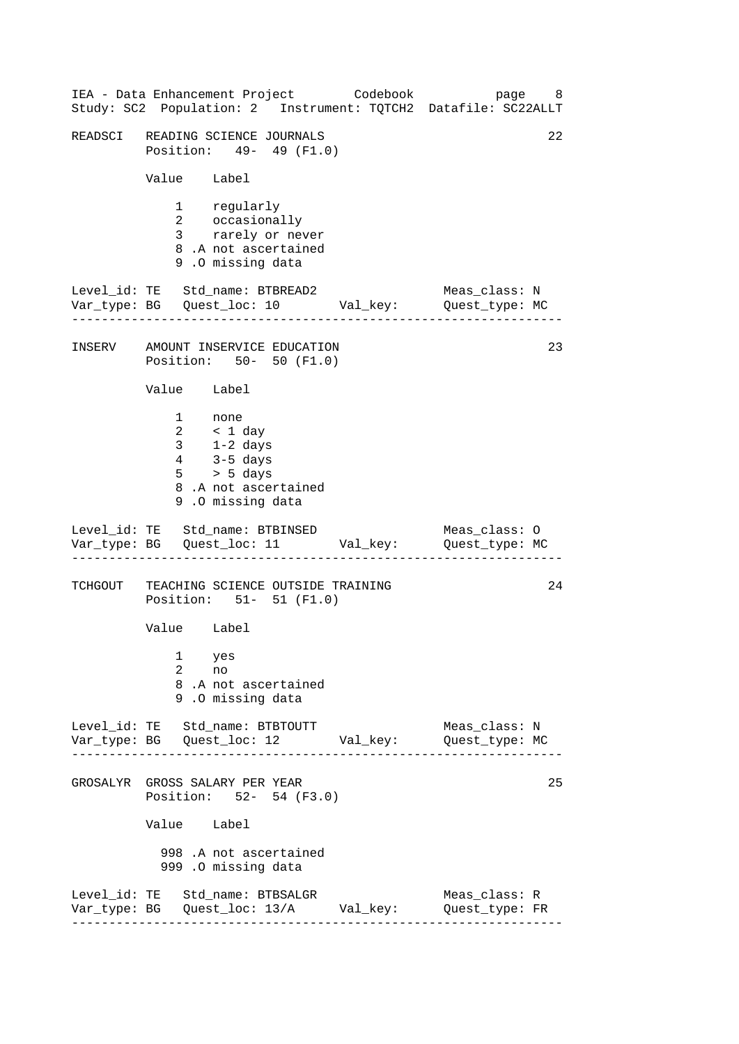------------------------------------------------------------------ ------------------------------------------------------------------ ------------------------------------------------------------------ ------------------------------------------------------------------ IEA - Data Enhancement Project Codebook page 8 Study: SC2 Population: 2 Instrument: TQTCH2 Datafile: SC22ALLT READSCI READING SCIENCE JOURNALS 22 Position: 49- 49 (F1.0) Value Label 1 regularly 2 occasionally 3 rarely or never 8 .A not ascertained 9 .O missing data Level\_id: TE Std\_name: BTBREAD2 Meas\_class: N Var\_type: BG Quest\_loc: 10 Val\_key: Quest\_type: MC INSERV AMOUNT INSERVICE EDUCATION 23 Position: 50- 50 (F1.0) Value Label 1 none 2 < 1 day 3 1-2 days 4 3-5 days 5 > 5 days 8 .A not ascertained 9 .O missing data Level\_id: TE Std\_name: BTBINSED Meas\_class: 0 Var\_type: BG Quest\_loc: 11 Val\_key: Quest\_type: MC TCHGOUT TEACHING SCIENCE OUTSIDE TRAINING 24 Position: 51- 51 (F1.0) Value Label 1 yes 2 no 8 .A not ascertained 9 .O missing data Level\_id: TE Std\_name: BTBTOUTT Meas\_class: N Var\_type: BG Quest\_loc: 12 Val\_key: Quest\_type: MC GROSALYR GROSS SALARY PER YEAR 25 Position: 52- 54 (F3.0) Value Label 998 .A not ascertained 999 .O missing data Level\_id: TE Std\_name: BTBSALGR Meas\_class: R Var\_type: BG Quest\_loc: 13/A Val\_key: Quest\_type: FR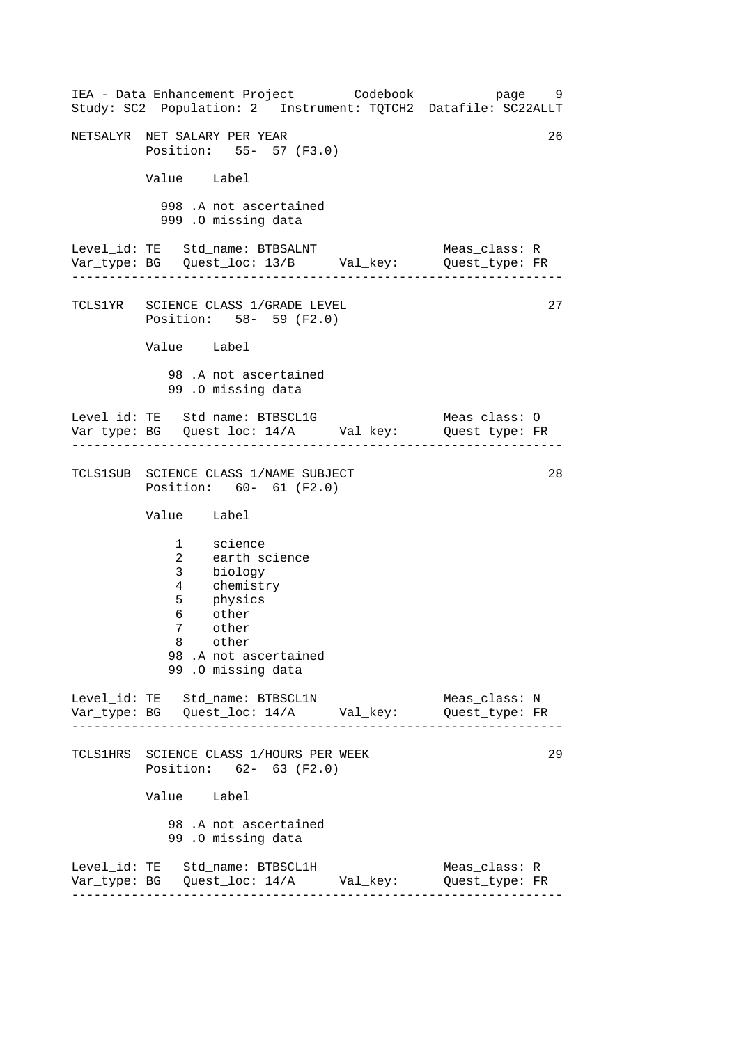------------------------------------------------------------------ ------------------------------------------------------------------ ------------------------------------------------------------------ ------------------------------------------------------------------ IEA - Data Enhancement Project Codebook page 9 Study: SC2 Population: 2 Instrument: TQTCH2 Datafile: SC22ALLT NETSALYR NET SALARY PER YEAR 26 Position: 55- 57 (F3.0) Value Label 998 .A not ascertained 999 .O missing data Level\_id: TE Std\_name: BTBSALNT Meas\_class: R Var\_type: BG Quest\_loc: 13/B Val\_key: Quest\_type: FR TCLS1YR SCIENCE CLASS 1/GRADE LEVEL Position: 58- 59 (F2.0) Value Label 98 .A not ascertained 99 .O missing data Level\_id: TE Std\_name: BTBSCL1G Meas\_class: 0 Var\_type: BG Quest\_loc: 14/A Val\_key: Quest\_type: FR TCLS1SUB SCIENCE CLASS 1/NAME SUBJECT Position: 60- 61 (F2.0) Value Label 1 science 2 earth science 3 biology 4 chemistry 5 physics 6 other 7 other 8 other 98 .A not ascertained 99 .O missing data Level\_id: TE Std\_name: BTBSCL1N Meas\_class: N Var\_type: BG Quest\_loc: 14/A Val\_key: Quest\_type: FR TCLS1HRS SCIENCE CLASS 1/HOURS PER WEEK Position: 62- 63 (F2.0) Value Label 98 .A not ascertained 99 .O missing data Level\_id: TE Std\_name: BTBSCL1H Meas\_class: R Var\_type: BG Quest\_loc: 14/A Val\_key: Quest\_type: FR 27 28 29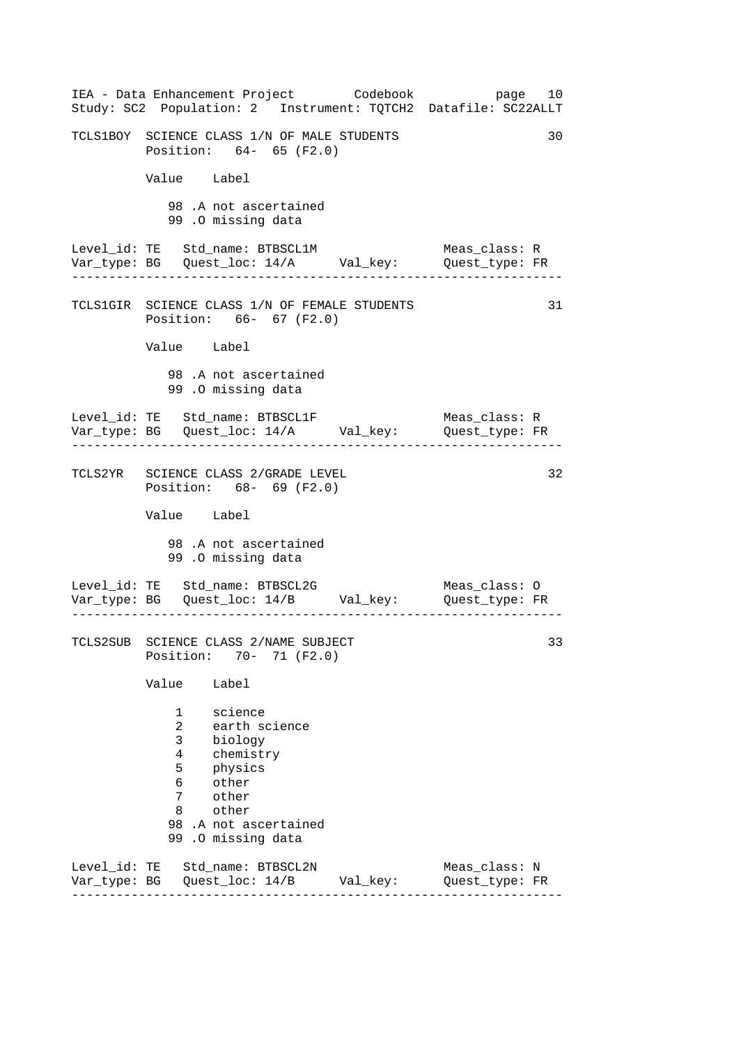| IEA - Data Enhancement Project Codebook<br>Study: SC2 Population: 2 Instrument: TQTCH2 Datafile: SC22ALLT                                                                        | page 10                         |
|----------------------------------------------------------------------------------------------------------------------------------------------------------------------------------|---------------------------------|
| TCLS1BOY SCIENCE CLASS 1/N OF MALE STUDENTS<br>Position: 64- 65 (F2.0)                                                                                                           | 30                              |
| Value Label                                                                                                                                                                      |                                 |
| 98.A not ascertained<br>99.0 missing data                                                                                                                                        |                                 |
| Level_id: TE Std_name: BTBSCL1M<br>Var_type: BG Quest_loc: 14/A Val_key: Quest_type: FR                                                                                          | Meas_class: R                   |
| TCLS1GIR SCIENCE CLASS 1/N OF FEMALE STUDENTS<br>Position: 66- 67 (F2.0)                                                                                                         | 31                              |
| Value Label                                                                                                                                                                      |                                 |
| 98.A not ascertained<br>99.0 missing data                                                                                                                                        |                                 |
| Level_id: TE Std_name: BTBSCL1F<br>Var_type: BG    Quest_loc: 14/A    Val_key:    Quest_type: FR<br>. Le celes de la calendaria de la                                            | Meas class: R                   |
| TCLS2YR SCIENCE CLASS 2/GRADE LEVEL<br>Position: 68- 69 (F2.0)                                                                                                                   | 32                              |
| Value Label                                                                                                                                                                      |                                 |
| 98.A not ascertained<br>99.0 missing data                                                                                                                                        |                                 |
| Level_id: TE Std_name: BTBSCL2G<br>Var_type: BG    Quest_loc: 14/B    Val_key:    Quest_type: FR                                                                                 | Meas_class: O                   |
| TCLS2SUB SCIENCE CLASS 2/NAME SUBJECT<br>Position:<br>$70 - 71$ (F2.0)                                                                                                           | 33                              |
| Value<br>Label                                                                                                                                                                   |                                 |
| 1<br>science<br>2<br>earth science<br>3<br>biology<br>4<br>chemistry<br>5<br>physics<br>other<br>6<br>7<br>other<br>other<br>8<br>98 .A not ascertained<br>.0 missing data<br>99 |                                 |
| Level_id: TE Std_name: BTBSCL2N<br>Var_type: BG    Quest_loc: 14/B    Val_key:                                                                                                   | Meas_class: N<br>Quest_type: FR |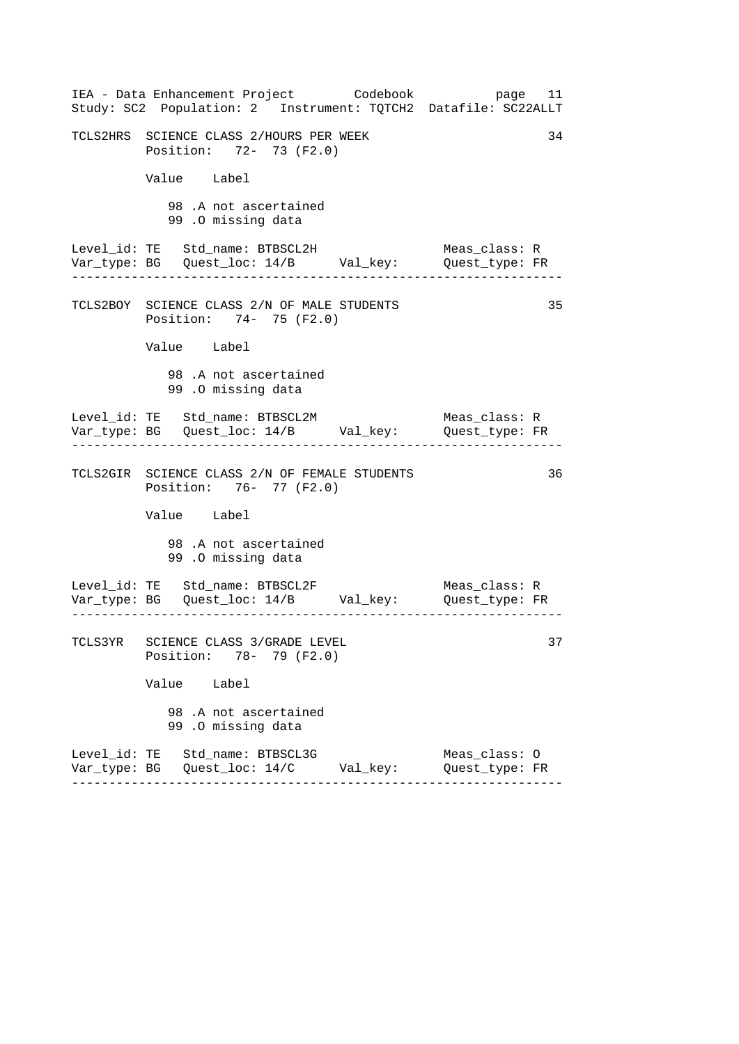| IEA - Data Enhancement Project Codebook<br>Study: SC2 Population: 2 Instrument: TQTCH2 Datafile: SC22ALLT | page 11                         |
|-----------------------------------------------------------------------------------------------------------|---------------------------------|
| TCLS2HRS SCIENCE CLASS 2/HOURS PER WEEK<br>Position: 72- 73 (F2.0)                                        | 34                              |
| Value Label                                                                                               |                                 |
| 98.A not ascertained<br>99.0 missing data                                                                 |                                 |
| Level_id: TE Std_name: BTBSCL2H<br>Var_type: BG    Quest_loc: 14/B    Val_key:    Quest_type: FR          | Meas_class: R                   |
| TCLS2BOY SCIENCE CLASS 2/N OF MALE STUDENTS<br>Position: 74- 75 (F2.0)                                    | 35                              |
| Value Label                                                                                               |                                 |
| 98.A not ascertained<br>99.0 missing data                                                                 |                                 |
| Level_id: TE Std_name: BTBSCL2M                                                                           | Meas_class: R                   |
| TCLS2GIR SCIENCE CLASS 2/N OF FEMALE STUDENTS<br>Position: 76- 77 (F2.0)                                  | 36                              |
| Value Label                                                                                               |                                 |
| 98.A not ascertained<br>99.0 missing data                                                                 |                                 |
| $\frac{1}{2}$                                                                                             |                                 |
| TCLS3YR SCIENCE CLASS 3/GRADE LEVEL<br>Position: 78- 79 (F2.0)                                            | 37                              |
| Value Label                                                                                               |                                 |
| 98 .A not ascertained<br>99.0 missing data                                                                |                                 |
| Level_id: TE Std_name: BTBSCL3G                                                                           | Meas_class: 0<br>Quest_type: FR |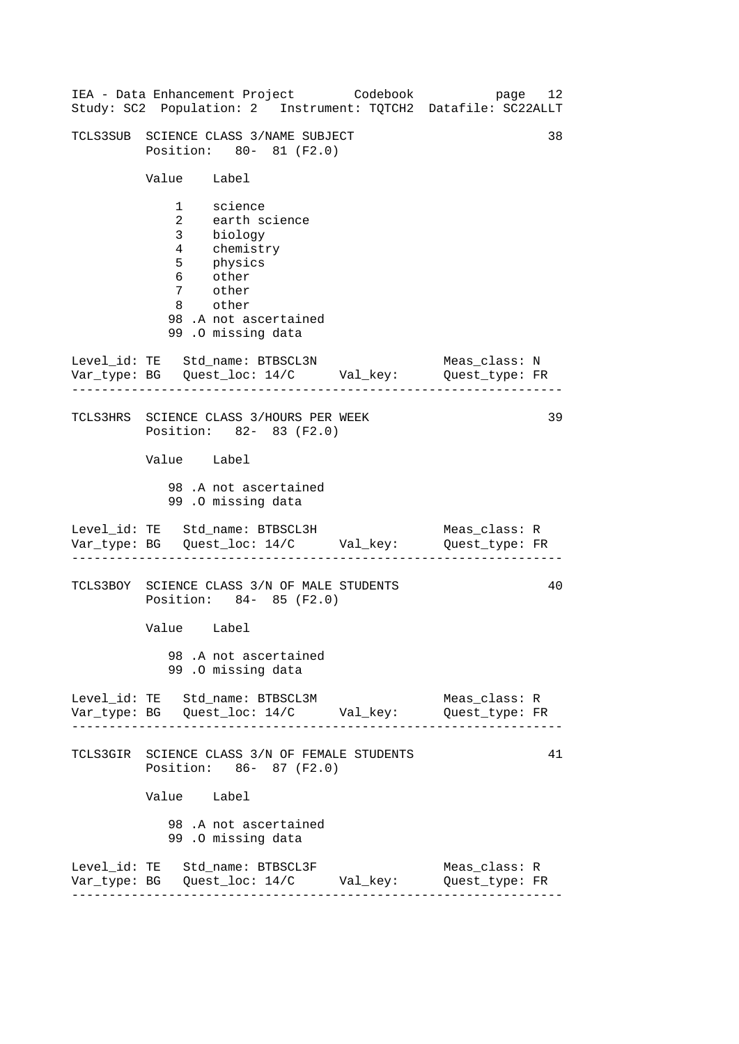| IEA - Data Enhancement Project Codebook<br>Study: SC2 Population: 2 Instrument: TQTCH2 Datafile: SC22ALLT                                           | page 12                         |
|-----------------------------------------------------------------------------------------------------------------------------------------------------|---------------------------------|
| TCLS3SUB SCIENCE CLASS 3/NAME SUBJECT<br>Position: 80- 81 (F2.0)                                                                                    | 38                              |
| Value Label                                                                                                                                         |                                 |
| 1 science<br>2 earth science<br>3 biology<br>4 chemistry<br>5 physics<br>6 other<br>7 other<br>8 other<br>98.A not ascertained<br>99.0 missing data |                                 |
| Level_id: TE Std_name: BTBSCL3N<br>Var_type: BG    Quest_loc: 14/C    Val_key:    Quest_type: FR                                                    | Meas_class: N                   |
| TCLS3HRS SCIENCE CLASS 3/HOURS PER WEEK<br>Position: 82- 83 (F2.0)                                                                                  | 39                              |
| Value Label                                                                                                                                         |                                 |
| 98.A not ascertained<br>99.0 missing data                                                                                                           |                                 |
| Level_id: TE Std_name: BTBSCL3H<br>Var_type: BG    Quest_loc: 14/C    Val_key:    Quest_type: FR                                                    | Meas_class: R                   |
| TCLS3BOY SCIENCE CLASS 3/N OF MALE STUDENTS<br>Position: 84- 85 (F2.0)                                                                              | 40                              |
| Value Label                                                                                                                                         |                                 |
| 98.A not ascertained<br>99.0 missing data                                                                                                           |                                 |
| Level_id: TE Std_name: BTBSCL3M<br>Var_type: BG    Quest_loc: 14/C    Val_key:    Quest_type: FR                                                    | Meas_class: R                   |
| TCLS3GIR SCIENCE CLASS 3/N OF FEMALE STUDENTS<br>Position: 86- 87 (F2.0)                                                                            | 41                              |
| Value Label                                                                                                                                         |                                 |
| 98.A not ascertained<br>99 .0 missing data                                                                                                          |                                 |
| Level_id: TE Std_name: BTBSCL3F                                                                                                                     | Meas_class: R<br>Quest_type: FR |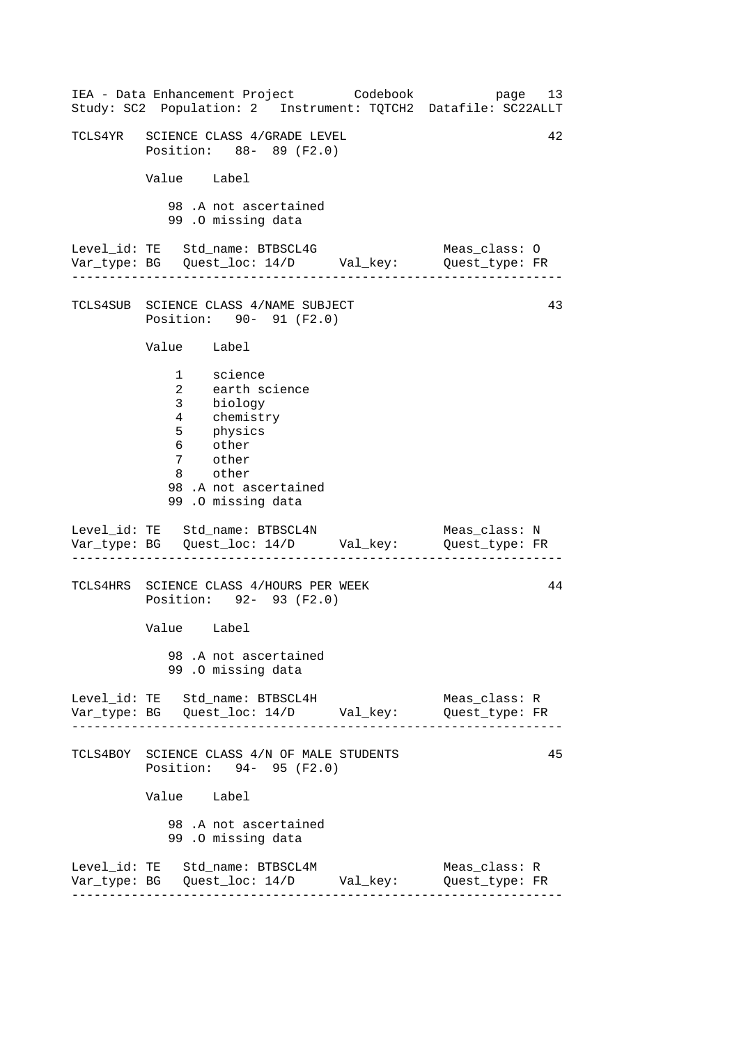| IEA - Data Enhancement Project Codebook<br>Study: SC2 Population: 2 Instrument: TQTCH2 Datafile: SC22ALLT                                                         |          | page 13                         |    |
|-------------------------------------------------------------------------------------------------------------------------------------------------------------------|----------|---------------------------------|----|
| TCLS4YR SCIENCE CLASS 4/GRADE LEVEL<br>Position: 88- 89 (F2.0)                                                                                                    |          |                                 | 42 |
| Value Label                                                                                                                                                       |          |                                 |    |
| 98.A not ascertained<br>99.0 missing data                                                                                                                         |          |                                 |    |
| Level_id: TE Std_name: BTBSCL4G<br>Var_type: BG    Quest_loc: 14/D    Val_key:    Quest_type: FR                                                                  |          | Meas_class: O                   |    |
| TCLS4SUB SCIENCE CLASS 4/NAME SUBJECT<br>Position: 90- 91 (F2.0)                                                                                                  |          |                                 | 43 |
| Value Label                                                                                                                                                       |          |                                 |    |
| 1 science<br>earth science<br>$\mathbf{2}$<br>3 biology<br>4 chemistry<br>5 physics<br>6 other<br>7 other<br>8 other<br>98.A not ascertained<br>99.0 missing data |          |                                 |    |
| Level_id: TE Std_name: BTBSCL4N<br>Var_type: BG    Quest_loc: 14/D    Val_key:    Quest_type: FR                                                                  |          | Meas class: N                   |    |
| TCLS4HRS SCIENCE CLASS 4/HOURS PER WEEK<br>Position: 92- 93 (F2.0)                                                                                                |          |                                 | 44 |
| Value Label                                                                                                                                                       |          |                                 |    |
| 98.A not ascertained<br>99.0 missing data                                                                                                                         |          |                                 |    |
| Level_id: TE Std_name: BTBSCL4H                                                                                                                                   | Val_key: | Meas_class: R<br>Quest_type: FR |    |
| TCLS4BOY SCIENCE CLASS 4/N OF MALE STUDENTS<br>Position: 94- 95 (F2.0)                                                                                            |          |                                 | 45 |
| Value Label                                                                                                                                                       |          |                                 |    |
| 98 .A not ascertained<br>99.0 missing data                                                                                                                        |          |                                 |    |
| Level_id: TE Std_name: BTBSCL4M                                                                                                                                   |          | Meas_class: R<br>Quest_type: FR |    |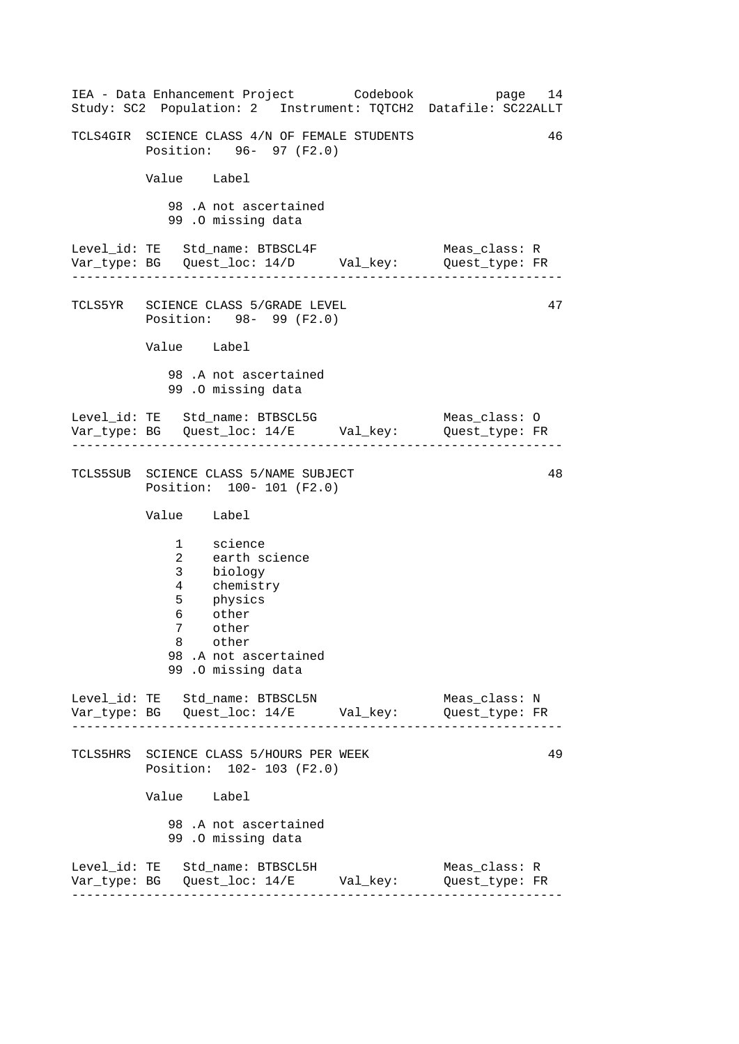------------------------------------------------------------------ ------------------------------------------------------------------ ------------------------------------------------------------------ ------------------------------------------------------------------ IEA - Data Enhancement Project Codebook page 14 Study: SC2 Population: 2 Instrument: TQTCH2 Datafile: SC22ALLT TCLS4GIR SCIENCE CLASS 4/N OF FEMALE STUDENTS 46 Position: 96- 97 (F2.0) Value Label 98 .A not ascertained 99 .O missing data Level\_id: TE Std\_name: BTBSCL4F Meas\_class: R Var\_type: BG Quest\_loc: 14/D Val\_key: Quest\_type: FR TCLS5YR SCIENCE CLASS 5/GRADE LEVEL Position: 98- 99 (F2.0) Value Label 98 .A not ascertained 99 .O missing data Level\_id: TE Std\_name: BTBSCL5G Meas\_class: O Var\_type: BG Quest\_loc: 14/E Val\_key: Quest\_type: FR TCLS5SUB SCIENCE CLASS 5/NAME SUBJECT Position: 100- 101 (F2.0) Value Label 1 science 2 earth science 3 biology 4 chemistry 5 physics 6 other 7 other 8 other 98 .A not ascertained 99 .O missing data Level\_id: TE Std\_name: BTBSCL5N Meas\_class: N Var\_type: BG Quest\_loc: 14/E Val\_key: Quest\_type: FR TCLS5HRS SCIENCE CLASS 5/HOURS PER WEEK Position: 102- 103 (F2.0) Value Label 98 .A not ascertained 99 .O missing data Level\_id: TE Std\_name: BTBSCL5H Meas\_class: R Var\_type: BG Quest\_loc: 14/E Val\_key: Quest\_type: FR 47 48 49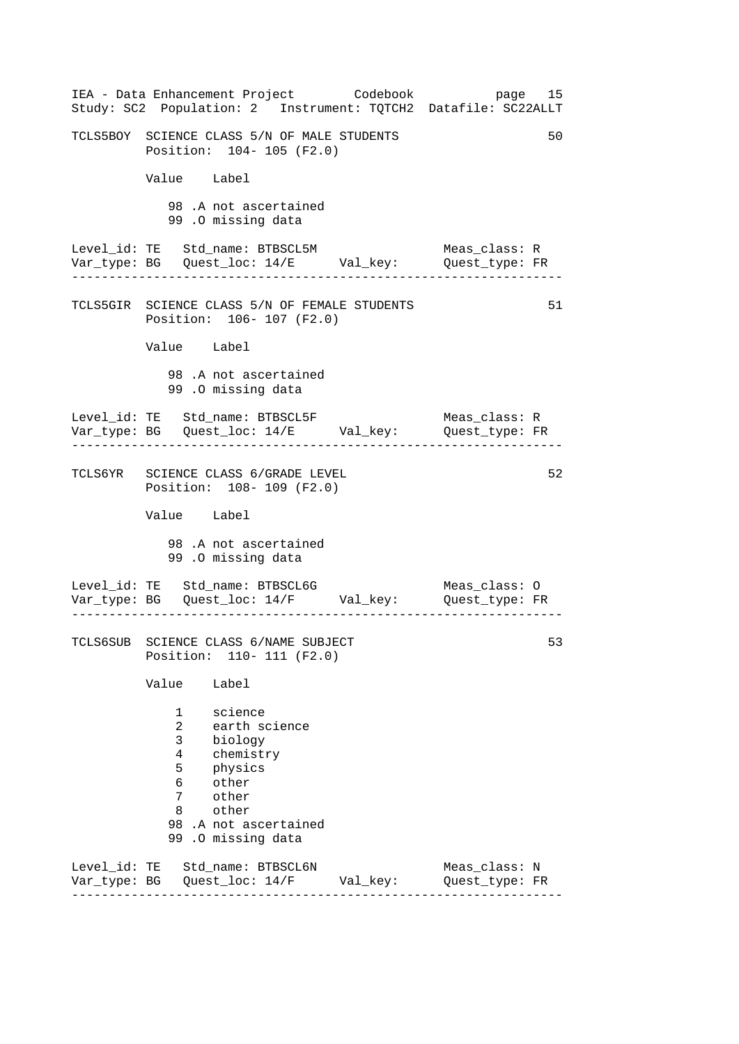| IEA - Data Enhancement Project Codebook<br>Study: SC2 Population: 2 Instrument: TQTCH2 Datafile: SC22ALLT                                                                        | page 15                         |
|----------------------------------------------------------------------------------------------------------------------------------------------------------------------------------|---------------------------------|
| TCLS5BOY SCIENCE CLASS 5/N OF MALE STUDENTS<br>Position: 104- 105 (F2.0)                                                                                                         | 50                              |
| Value Label                                                                                                                                                                      |                                 |
| 98.A not ascertained<br>99.0 missing data                                                                                                                                        |                                 |
| Level_id: TE Std_name: BTBSCL5M<br>Var_type: BG Quest_loc: 14/E Val_key: Quest_type: FR                                                                                          | Meas_class: R                   |
| TCLS5GIR SCIENCE CLASS 5/N OF FEMALE STUDENTS<br>Position: 106- 107 (F2.0)                                                                                                       | 51                              |
| Value Label                                                                                                                                                                      |                                 |
| 98.A not ascertained<br>99 .0 missing data                                                                                                                                       |                                 |
| Var_type: BG    Quest_loc: 14/E    Val_key:    Quest_type: FR<br>. Le celes de la celes de la celes                                                                              | Meas class: R                   |
| TCLS6YR SCIENCE CLASS 6/GRADE LEVEL<br>Position: 108- 109 (F2.0)                                                                                                                 | 52                              |
| Value Label                                                                                                                                                                      |                                 |
| 98.A not ascertained<br>99.0 missing data                                                                                                                                        |                                 |
| Level_id: TE Std_name: BTBSCL6G<br>Var_type: BG    Quest_loc: 14/F    Val_key:    Quest_type: FR                                                                                 | Meas_class: O                   |
| TCLS6SUB SCIENCE CLASS 6/NAME SUBJECT<br>Position: 110- 111 (F2.0)                                                                                                               | 53                              |
| Value<br>Label                                                                                                                                                                   |                                 |
| science<br>1<br>2<br>earth science<br>3<br>biology<br>4<br>chemistry<br>5<br>physics<br>other<br>6<br>7<br>other<br>other<br>8<br>98 .A not ascertained<br>.O missing data<br>99 |                                 |
| Level_id: TE Std_name: BTBSCL6N<br>Var_type: BG    Quest_loc: 14/F    Val_key:                                                                                                   | Meas_class: N<br>Quest_type: FR |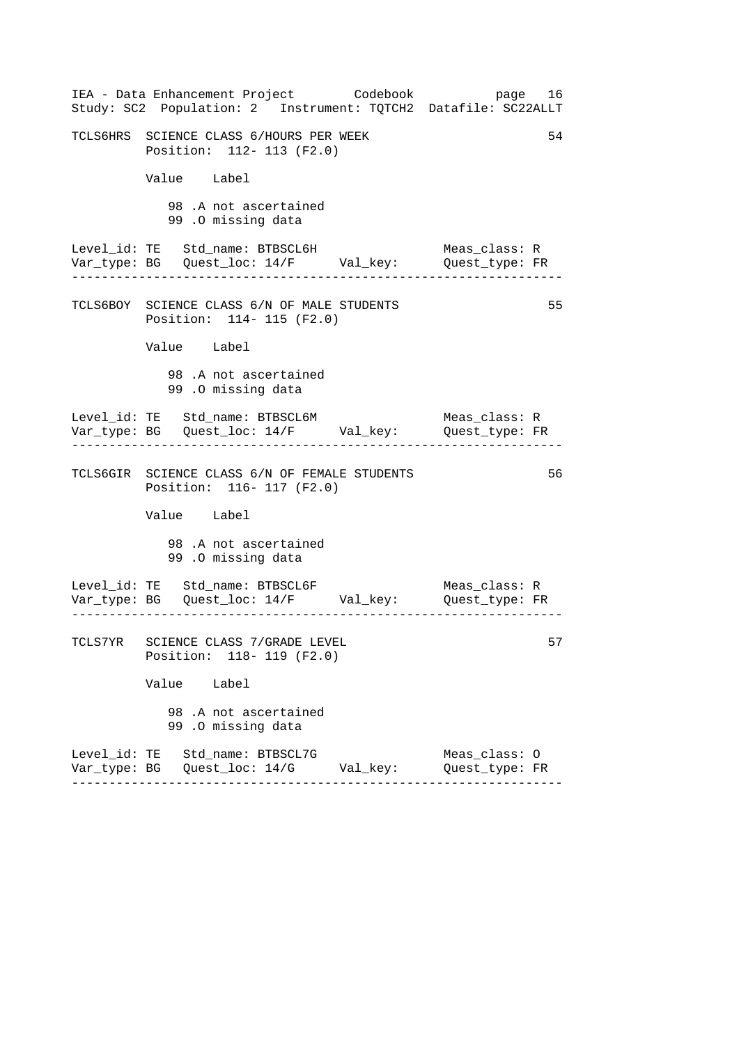| IEA - Data Enhancement Project Codebook<br>Study: SC2 Population: 2 Instrument: TQTCH2 Datafile: SC22ALLT | page 16                                           |
|-----------------------------------------------------------------------------------------------------------|---------------------------------------------------|
| TCLS6HRS SCIENCE CLASS 6/HOURS PER WEEK<br>Position: 112- 113 (F2.0)                                      | 54                                                |
| Value Label                                                                                               |                                                   |
| 98.A not ascertained<br>99.0 missing data                                                                 |                                                   |
| Level_id: TE Std_name: BTBSCL6H<br>Var_type: BG    Quest_loc: 14/F    Val_key:    Quest_type: FR          | Meas class: R                                     |
| TCLS6BOY SCIENCE CLASS 6/N OF MALE STUDENTS<br>Position: 114- 115 (F2.0)                                  | 55                                                |
| Value Label                                                                                               |                                                   |
| 98.A not ascertained<br>99.0 missing data                                                                 |                                                   |
| Level_id: TE Std_name: BTBSCL6M<br>Var_type: BG    Quest_loc: 14/F    Val_key:    Quest_type: FR          | Meas_class: R<br>. Lie Lie Lie Lie Lie Lie Lie Li |
| TCLS6GIR SCIENCE CLASS 6/N OF FEMALE STUDENTS<br>Position: 116- 117 (F2.0)                                | 56                                                |
| Value Label                                                                                               |                                                   |
| 98.A not ascertained<br>99.0 missing data                                                                 |                                                   |
| Level_id: TE Std_name: BTBSCL6F<br>Var_type: BG    Quest_loc: 14/F    Val_key:    Quest_type: FR          | Meas_class: R                                     |
| TCLS7YR SCIENCE CLASS 7/GRADE LEVEL<br>Position: 118- 119 (F2.0)                                          | 57                                                |
| Value Label                                                                                               |                                                   |
| 98 .A not ascertained<br>99.0 missing data                                                                |                                                   |
| Level_id: TE Std_name: BTBSCL7G                                                                           | Meas_class: 0<br>Quest_type: FR                   |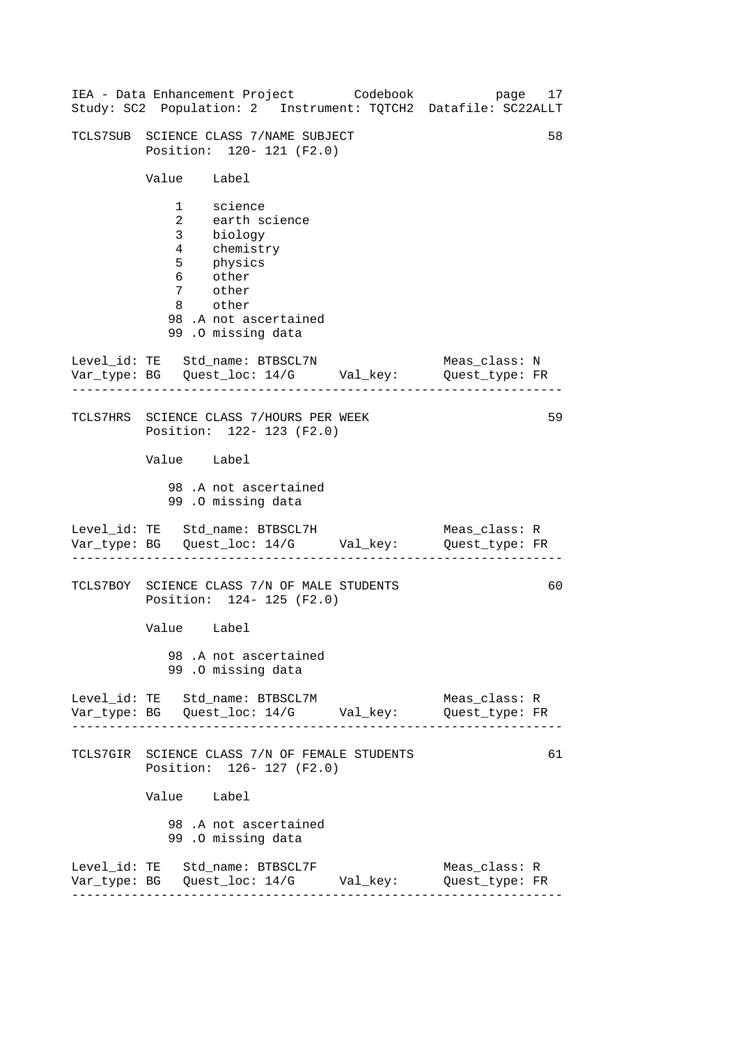| IEA - Data Enhancement Project Codebook<br>Study: SC2 Population: 2 Instrument: TQTCH2 Datafile: SC22ALLT                                           | page 17                         |    |
|-----------------------------------------------------------------------------------------------------------------------------------------------------|---------------------------------|----|
| TCLS7SUB SCIENCE CLASS 7/NAME SUBJECT<br>Position: 120- 121 (F2.0)                                                                                  |                                 | 58 |
| Value Label                                                                                                                                         |                                 |    |
| 1 science<br>2 earth science<br>3 biology<br>4 chemistry<br>5 physics<br>6 other<br>7 other<br>8 other<br>98.A not ascertained<br>99.0 missing data |                                 |    |
| Level_id: TE Std_name: BTBSCL7N<br>Var_type: BG    Quest_loc: 14/G    Val_key:    Quest_type: FR                                                    | Meas class: N                   |    |
| TCLS7HRS SCIENCE CLASS 7/HOURS PER WEEK<br>Position: 122- 123 (F2.0)                                                                                |                                 | 59 |
| Value Label                                                                                                                                         |                                 |    |
| 98.A not ascertained<br>99.0 missing data                                                                                                           |                                 |    |
| Level_id: TE Std_name: BTBSCL7H<br>Var_type: BG    Quest_loc: 14/G    Val_key:    Quest_type: FR                                                    | Meas_class: R                   |    |
| TCLS7BOY SCIENCE CLASS 7/N OF MALE STUDENTS<br>Position: 124- 125 (F2.0)                                                                            |                                 | 60 |
| Value Label                                                                                                                                         |                                 |    |
| 98.A not ascertained<br>99.0 missing data                                                                                                           |                                 |    |
| Level_id: TE Std_name: BTBSCL7M<br>Var_type: BG    Quest_loc: 14/G    Val_key:    Quest_type: FR                                                    | Meas_class: R                   |    |
| TCLS7GIR SCIENCE CLASS 7/N OF FEMALE STUDENTS<br>Position: 126- 127 (F2.0)                                                                          |                                 | 61 |
| Value Label                                                                                                                                         |                                 |    |
| 98.A not ascertained<br>99.0 missing data                                                                                                           |                                 |    |
| Level_id: TE Std_name: BTBSCL7F<br>Var_type: BG    Quest_loc: 14/G    Val_key:                                                                      | Meas_class: R<br>Quest_type: FR |    |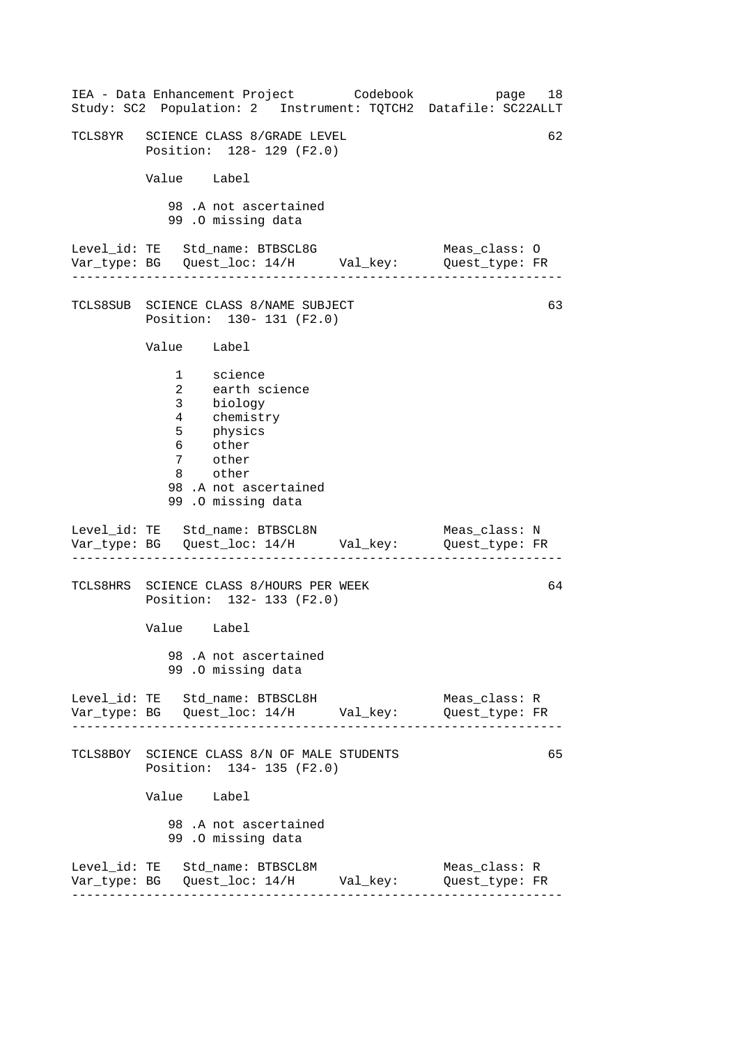| IEA - Data Enhancement Project Codebook<br>Study: SC2 Population: 2 Instrument: TQTCH2 Datafile: SC22ALLT                                                           | page 18                         |
|---------------------------------------------------------------------------------------------------------------------------------------------------------------------|---------------------------------|
| TCLS8YR SCIENCE CLASS 8/GRADE LEVEL<br>Position: 128- 129 (F2.0)                                                                                                    | 62                              |
| Value Label                                                                                                                                                         |                                 |
| 98.A not ascertained<br>99.0 missing data                                                                                                                           |                                 |
|                                                                                                                                                                     |                                 |
| TCLS8SUB SCIENCE CLASS 8/NAME SUBJECT<br>Position: 130- 131 (F2.0)                                                                                                  | 63                              |
| Value Label                                                                                                                                                         |                                 |
| 1 science<br>earth science<br>$\overline{2}$<br>3 biology<br>4 chemistry<br>5 physics<br>6 other<br>7 other<br>8 other<br>98.A not ascertained<br>99.0 missing data |                                 |
| Level_id: TE Std_name: BTBSCL8N<br>Var_type: BG    Quest_loc: 14/H    Val_key:    Quest_type: FR                                                                    | Meas_class: N                   |
| TCLS8HRS SCIENCE CLASS 8/HOURS PER WEEK<br>Position: 132- 133 (F2.0)                                                                                                | 64                              |
| Value Label                                                                                                                                                         |                                 |
| 98.A not ascertained<br>99.0 missing data                                                                                                                           |                                 |
| Level_id: TE Std_name: BTBSCL8H                                                                                                                                     | Meas_class: R<br>Quest_type: FR |
| TCLS8BOY SCIENCE CLASS 8/N OF MALE STUDENTS<br>Position: 134- 135 (F2.0)                                                                                            | 65                              |
| Value Label                                                                                                                                                         |                                 |
| 98 .A not ascertained<br>99.0 missing data                                                                                                                          |                                 |
| Level_id: TE Std_name: BTBSCL8M                                                                                                                                     | Meas_class: R<br>Quest_type: FR |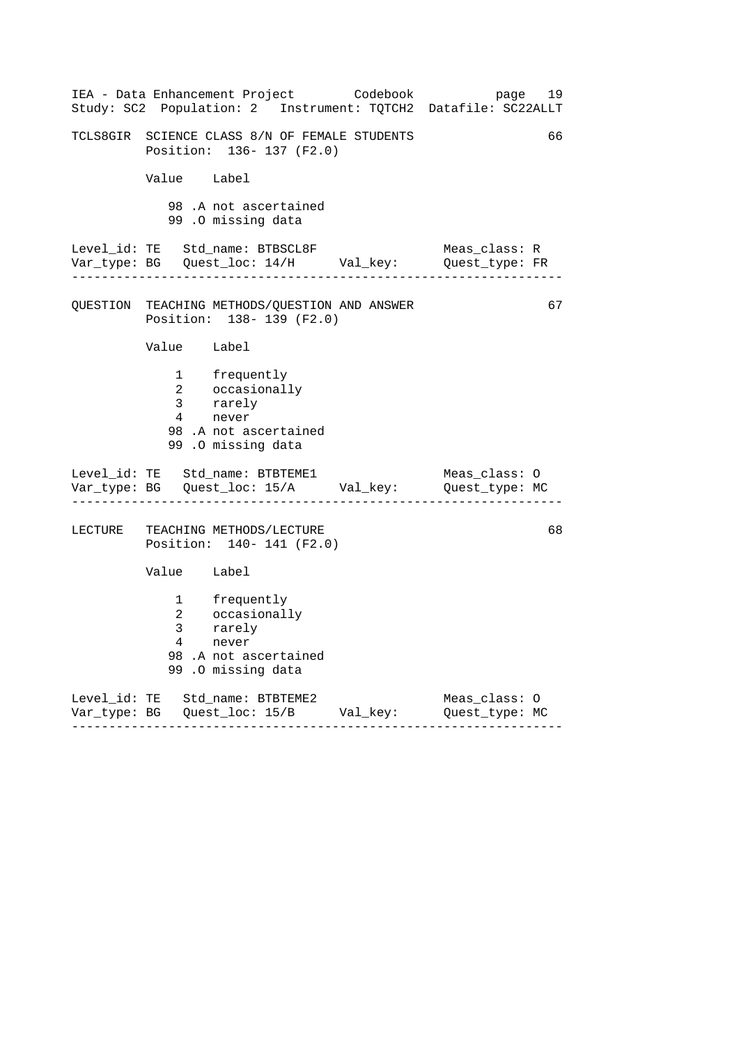| IEA - Data Enhancement Project Codebook bage<br>Study: SC2 Population: 2 Instrument: TQTCH2 Datafile: SC22ALLT                   | 19                              |
|----------------------------------------------------------------------------------------------------------------------------------|---------------------------------|
| TCLS8GIR SCIENCE CLASS 8/N OF FEMALE STUDENTS<br>Position: 136- 137 (F2.0)                                                       | 66                              |
| Value Label                                                                                                                      |                                 |
| 98.A not ascertained<br>99.0 missing data                                                                                        |                                 |
| Level_id: TE Std_name: BTBSCL8F<br>Var_type: BG    Quest_loc: 14/H    Val_key:    Quest_type: FR                                 | Meas_class: R                   |
| QUESTION TEACHING METHODS/QUESTION AND ANSWER<br>Position: 138- 139 (F2.0)                                                       | 67                              |
| Value Label                                                                                                                      |                                 |
| 1 frequently<br>2 occasionally<br>3 rarely<br>4 never<br>98.A not ascertained                                                    |                                 |
| 99.0 missing data                                                                                                                |                                 |
| Level_id: TE Std_name: BTBTEME1<br>Var_type: BG    Quest_loc: 15/A    Val_key:    Quest_type: MC<br>---------------------------- | Meas_class: O                   |
| LECTURE TEACHING METHODS/LECTURE<br>Position: 140- 141 (F2.0)                                                                    | 68                              |
| Value Label                                                                                                                      |                                 |
| 1 frequently<br>2 occasionally<br>3 rarely<br>4 never<br>98.A not ascertained<br>99 .0 missing data                              |                                 |
| Level_id: TE Std_name: BTBTEME2<br>Var_type: BG    Quest_loc: 15/B    Val_key:                                                   | Meas_class: 0<br>Quest_type: MC |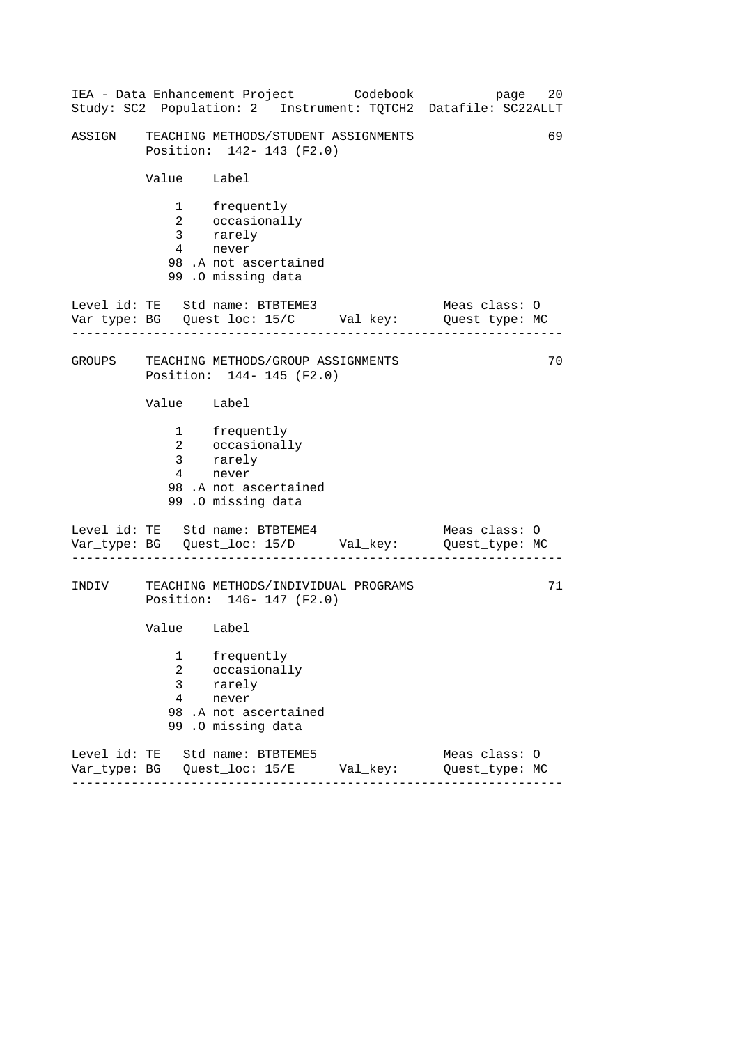|        |                                     | IEA - Data Enhancement Project Codebook                                                                     | 20<br>page<br>Study: SC2 Population: 2 Instrument: TQTCH2 Datafile: SC22ALLT |
|--------|-------------------------------------|-------------------------------------------------------------------------------------------------------------|------------------------------------------------------------------------------|
| ASSIGN |                                     | TEACHING METHODS/STUDENT ASSIGNMENTS<br>Position: 142- 143 (F2.0)                                           | 69                                                                           |
|        | Value Label                         |                                                                                                             |                                                                              |
|        | $4\overline{ }$                     | 1 frequently<br>2 occasionally<br>3 rarely<br>never<br>98.A not ascertained<br>99.0 missing data            |                                                                              |
|        |                                     | Level_id: TE Std_name: BTBTEME3<br>Var_type: BG    Quest_loc: 15/C    Val_key:    Quest_type: MC            | Meas_class: 0                                                                |
|        |                                     | GROUPS TEACHING METHODS/GROUP ASSIGNMENTS<br>Position: 144- 145 (F2.0)                                      | 70                                                                           |
|        | Value Label                         |                                                                                                             |                                                                              |
|        | 4                                   | 1 frequently<br>2 occasionally<br>3 rarely<br>4 novem<br>never<br>98.A not ascertained<br>99.0 missing data |                                                                              |
|        |                                     | Level_id: TE Std_name: BTBTEME4<br>Var_type: BG    Quest_loc: 15/D    Val_key:    Quest_type: MC            | Meas_class: O                                                                |
| INDIV  |                                     | TEACHING METHODS/INDIVIDUAL PROGRAMS<br>Position: 146- 147 (F2.0)                                           | 71                                                                           |
|        | Value Label                         |                                                                                                             |                                                                              |
|        | 1<br>2<br>3<br>$\overline{4}$<br>99 | frequently<br>occasionally<br>rarely<br>never<br>98.A not ascertained<br>.0 missing data                    |                                                                              |
|        |                                     | Level_id: TE Std_name: BTBTEME5<br>Var_type: BG    Quest_loc: 15/E    Val_key:                              | Meas_class: 0<br>Quest_type: MC                                              |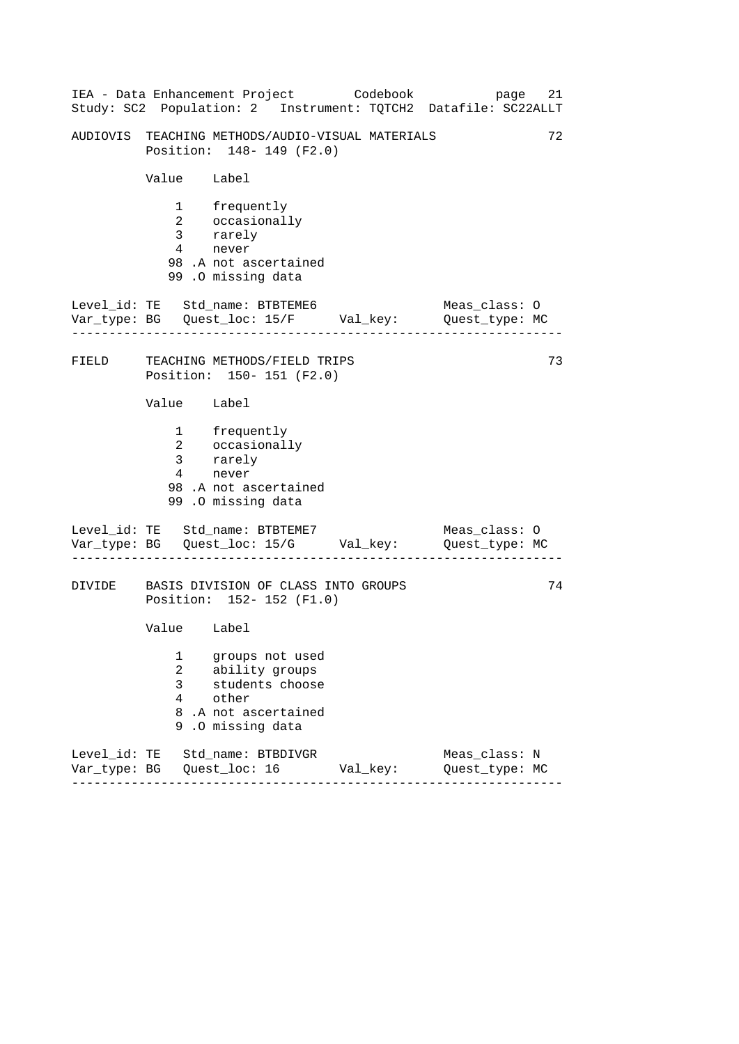|        |                                   | IEA - Data Enhancement Project Codebook                                                                | 21<br>page<br>Study: SC2 Population: 2 Instrument: TQTCH2 Datafile: SC22ALLT |
|--------|-----------------------------------|--------------------------------------------------------------------------------------------------------|------------------------------------------------------------------------------|
|        |                                   | AUDIOVIS TEACHING METHODS/AUDIO-VISUAL MATERIALS<br>Position: 148- 149 (F2.0)                          | 72                                                                           |
|        | Value Label                       |                                                                                                        |                                                                              |
|        | $\overline{4}$                    | 1 frequently<br>2 occasionally<br>3 rarely<br>never<br>98.A not ascertained<br>99.0 missing data       |                                                                              |
|        | .                                 | Level_id: TE Std_name: BTBTEME6<br>Var_type: BG    Quest_loc: 15/F    Val_key:    Quest_type: MC       | Meas_class: O                                                                |
| FIELD  |                                   | TEACHING METHODS/FIELD TRIPS<br>Position: 150- 151 (F2.0)                                              | 73                                                                           |
|        | Value Label                       |                                                                                                        |                                                                              |
|        | $\overline{3}$<br>$4\overline{ }$ | 1 frequently<br>2 occasionally<br>rarely<br>never<br>98.A not ascertained<br>99.0 missing data         |                                                                              |
|        |                                   | Level_id: TE Std_name: BTBTEME7<br>Var_type: BG    Quest_loc: 15/G    Val_key:    Quest_type: MC       | Meas_class: 0                                                                |
| DIVIDE |                                   | BASIS DIVISION OF CLASS INTO GROUPS<br>Position: 152- 152 (F1.0)                                       | 74                                                                           |
|        | Value Label                       |                                                                                                        |                                                                              |
|        | 1<br>2<br>3<br>4<br>8<br>9        | groups not used<br>ability groups<br>students choose<br>other<br>.A not ascertained<br>.0 missing data |                                                                              |
|        |                                   | Level_id: TE Std_name: BTBDIVGR<br>Var_type: BG    Quest_loc: 16    Val_key:                           | Meas_class: N<br>Quest_type: MC                                              |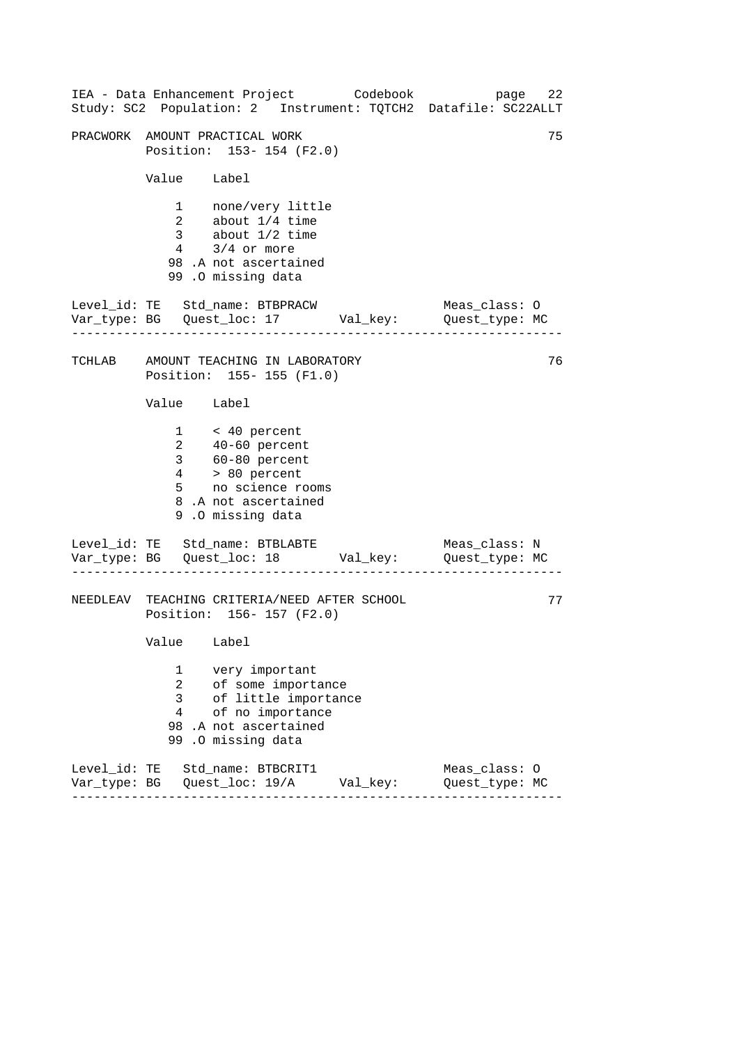|                                            | IEA - Data Enhancement Project Codebook                                                                                                                          |          | 22<br>page<br>Study: SC2 Population: 2 Instrument: TQTCH2 Datafile: SC22ALLT |
|--------------------------------------------|------------------------------------------------------------------------------------------------------------------------------------------------------------------|----------|------------------------------------------------------------------------------|
|                                            | PRACWORK AMOUNT PRACTICAL WORK<br>Position: 153- 154 (F2.0)                                                                                                      |          | 75                                                                           |
| Value Label                                |                                                                                                                                                                  |          |                                                                              |
|                                            | 1 none/very little<br>2 about 1/4 time<br>3 about 1/2 time<br>$4$ $3/4$ or more<br>98.A not ascertained<br>99.0 missing data                                     |          |                                                                              |
|                                            | Level_id: TE Std_name: BTBPRACW<br>Var_type: BG    Quest_loc: 17    Val_key:    Quest_type: MC                                                                   |          | Meas_class: O                                                                |
|                                            | TCHLAB AMOUNT TEACHING IN LABORATORY<br>Position: 155-155 (F1.0)                                                                                                 |          | 76                                                                           |
| Value Label                                |                                                                                                                                                                  |          |                                                                              |
|                                            | $1 \times 40$ percent<br>$2 \t 40-60$ percent<br>$3 \t 60-80$ percent<br>$4 \t 80$ percent<br>$5 \t no$ science rooms<br>8.A not ascertained<br>9.0 missing data |          |                                                                              |
|                                            | Level_id: TE Std_name: BTBLABTE<br>Var_type: BG    Quest_loc: 18    Val_key:    Quest_type: MC                                                                   |          | Meas_class: N                                                                |
|                                            | NEEDLEAV TEACHING CRITERIA/NEED AFTER SCHOOL<br>Position: 156- 157 (F2.0)                                                                                        |          | 77                                                                           |
| Value Label                                |                                                                                                                                                                  |          |                                                                              |
| 1<br>$\overline{a}$<br>3<br>$\overline{4}$ | very important<br>of some importance<br>of little importance<br>of no importance<br>98 .A not ascertained<br>99.0 missing data                                   |          |                                                                              |
|                                            | Level_id: TE Std_name: BTBCRIT1                                                                                                                                  | Val_key: | Meas_class: 0<br>Quest_type: MC                                              |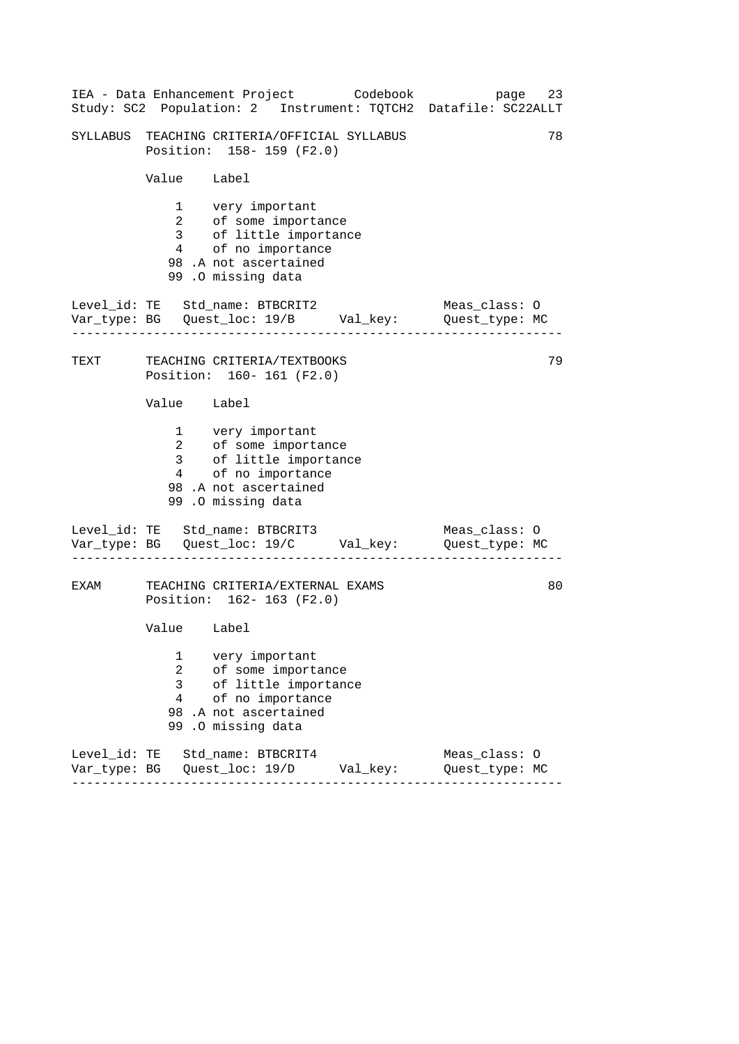|      |                                            | IEA - Data Enhancement Project Codebook                                                                                               | 23<br>page<br>Study: SC2 Population: 2 Instrument: TQTCH2 Datafile: SC22ALLT |
|------|--------------------------------------------|---------------------------------------------------------------------------------------------------------------------------------------|------------------------------------------------------------------------------|
|      |                                            | SYLLABUS TEACHING CRITERIA/OFFICIAL SYLLABUS<br>Position: 158-159 (F2.0)                                                              | 78                                                                           |
|      | Value Label                                |                                                                                                                                       |                                                                              |
|      | $\overline{4}$                             | 1 very important<br>2 of some importance<br>3 of little importance<br>of no importance<br>98.A not ascertained<br>99.0 missing data   |                                                                              |
|      |                                            | Level_id: TE Std_name: BTBCRIT2<br>Var_type: BG    Quest_loc: 19/B    Val_key:    Quest_type: MC                                      | Meas_class: 0                                                                |
| TEXT |                                            | TEACHING CRITERIA/TEXTBOOKS<br>Position: 160- 161 (F2.0)                                                                              | 79                                                                           |
|      | Value Label                                |                                                                                                                                       |                                                                              |
|      |                                            | 1 very important<br>2 of some importance<br>3 of little importance<br>4 of no importance<br>98.A not ascertained<br>99.0 missing data |                                                                              |
|      |                                            | Level_id: TE Std_name: BTBCRIT3                                                                                                       | Meas_class: O                                                                |
| EXAM |                                            | TEACHING CRITERIA/EXTERNAL EXAMS<br>Position: 162- 163 (F2.0)                                                                         | 80                                                                           |
|      | Value Label                                |                                                                                                                                       |                                                                              |
|      | 1<br>$\overline{a}$<br>3<br>$\overline{4}$ | very important<br>of some importance<br>of little importance<br>of no importance<br>98.A not ascertained<br>99.0 missing data         |                                                                              |
|      |                                            | Level_id: TE Std_name: BTBCRIT4<br>Var_type: BG    Quest_loc: 19/D    Val_key:                                                        | Meas_class: 0<br>Quest_type: MC                                              |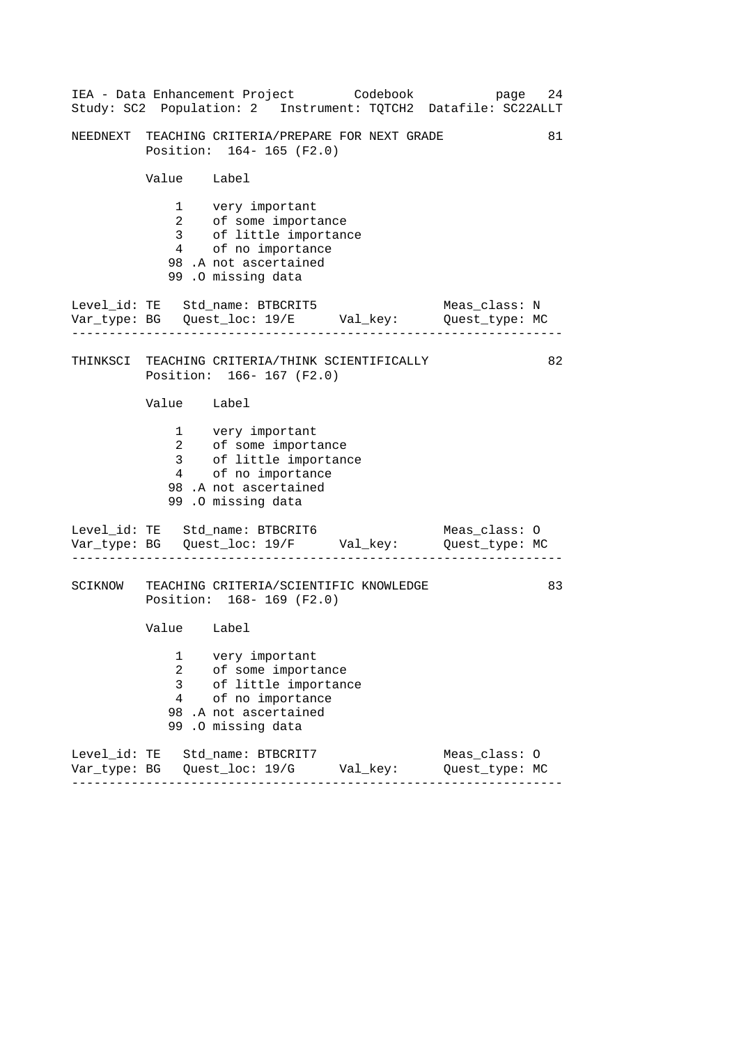|                                            | IEA - Data Enhancement Project Codebook                                                                                                | 24<br>page<br>Study: SC2 Population: 2 Instrument: TQTCH2 Datafile: SC22ALLT |
|--------------------------------------------|----------------------------------------------------------------------------------------------------------------------------------------|------------------------------------------------------------------------------|
|                                            | NEEDNEXT TEACHING CRITERIA/PREPARE FOR NEXT GRADE<br>Position: 164-165 (F2.0)                                                          | 81                                                                           |
| Value Label                                |                                                                                                                                        |                                                                              |
|                                            | 1 very important<br>2 of some importance<br>3 of little importance<br>4 of no importance<br>98.A not ascertained<br>99.0 missing data  |                                                                              |
|                                            | Level_id: TE Std_name: BTBCRIT5<br>Var_type: BG    Quest_loc: 19/E    Val_key:    Quest_type: MC                                       | Meas_class: N                                                                |
|                                            | THINKSCI TEACHING CRITERIA/THINK SCIENTIFICALLY<br>Position: 166-167 (F2.0)                                                            | 82                                                                           |
| Value Label                                |                                                                                                                                        |                                                                              |
|                                            | 1 very important<br>2 of some importance<br>3 of little importance<br>4 of no importance<br>98 .A not ascertained<br>99.0 missing data |                                                                              |
|                                            | Level_id: TE Std_name: BTBCRIT6<br>Var_type: BG    Quest_loc: 19/F    Val_key:    Quest_type: MC                                       | Meas_class: O                                                                |
|                                            | SCIKNOW TEACHING CRITERIA/SCIENTIFIC KNOWLEDGE<br>Position: 168-169 (F2.0)                                                             | 83                                                                           |
| Value Label                                |                                                                                                                                        |                                                                              |
| 1<br>$\overline{2}$<br>3<br>$\overline{4}$ | very important<br>of some importance<br>of little importance<br>of no importance<br>98.A not ascertained<br>99.0 missing data          |                                                                              |
|                                            | Level_id: TE Std_name: BTBCRIT7                                                                                                        | Meas_class: 0<br>Quest_type: MC                                              |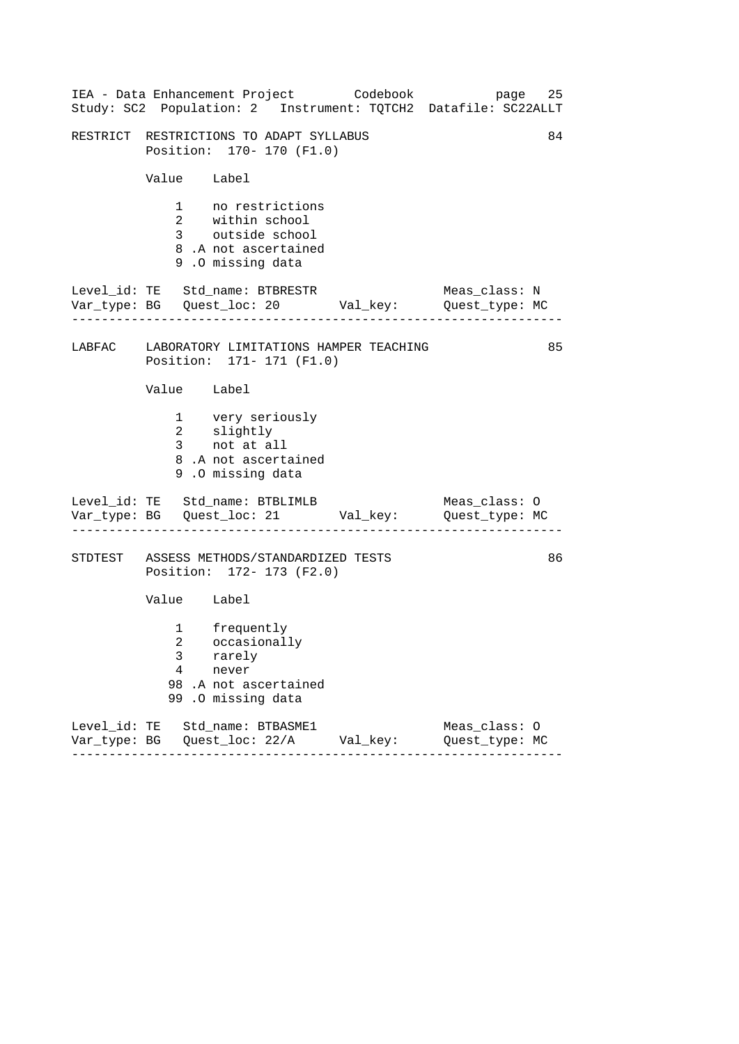|                                                                            | IEA - Data Enhancement Project Codebook<br>Study: SC2 Population: 2 Instrument: TQTCH2 Datafile: SC22ALLT |  |                                 | page 25 |  |
|----------------------------------------------------------------------------|-----------------------------------------------------------------------------------------------------------|--|---------------------------------|---------|--|
| 84<br>RESTRICT RESTRICTIONS TO ADAPT SYLLABUS<br>Position: 170- 170 (F1.0) |                                                                                                           |  |                                 |         |  |
|                                                                            | Value Label                                                                                               |  |                                 |         |  |
|                                                                            | 1 no restrictions<br>2 within school<br>3 outside school<br>8.A not ascertained<br>9.0 missing data       |  |                                 |         |  |
|                                                                            | Level_id: TE Std_name: BTBRESTR<br>Var_type: BG    Quest_loc: 20    Val_key:    Quest_type: MC            |  | Meas_class: N                   |         |  |
| LABFAC LABORATORY LIMITATIONS HAMPER TEACHING<br>Position: 171- 171 (F1.0) |                                                                                                           |  |                                 | 85      |  |
|                                                                            | Value Label                                                                                               |  |                                 |         |  |
|                                                                            | 1 very seriously<br>2 slightly<br>3 not at all<br>8.A not ascertained<br>9.0 missing data                 |  |                                 |         |  |
|                                                                            | Level_id: TE Std_name: BTBLIMLB<br>Var_type: BG    Quest_loc: 21    Val_key:    Quest_type: MC            |  | Meas_class: O                   |         |  |
|                                                                            | STDTEST ASSESS METHODS/STANDARDIZED TESTS<br>Position: 172- 173 (F2.0)                                    |  |                                 | 86      |  |
|                                                                            | Value Label                                                                                               |  |                                 |         |  |
| 3<br>4<br>99                                                               | 1 frequently<br>2 occasionally<br>rarely<br>never<br>98.A not ascertained<br>.0 missing data              |  |                                 |         |  |
|                                                                            | Level_id: TE Std_name: BTBASME1<br>Var_type: BG    Quest_loc: 22/A    Val_key:<br>------                  |  | Meas_class: 0<br>Quest_type: MC |         |  |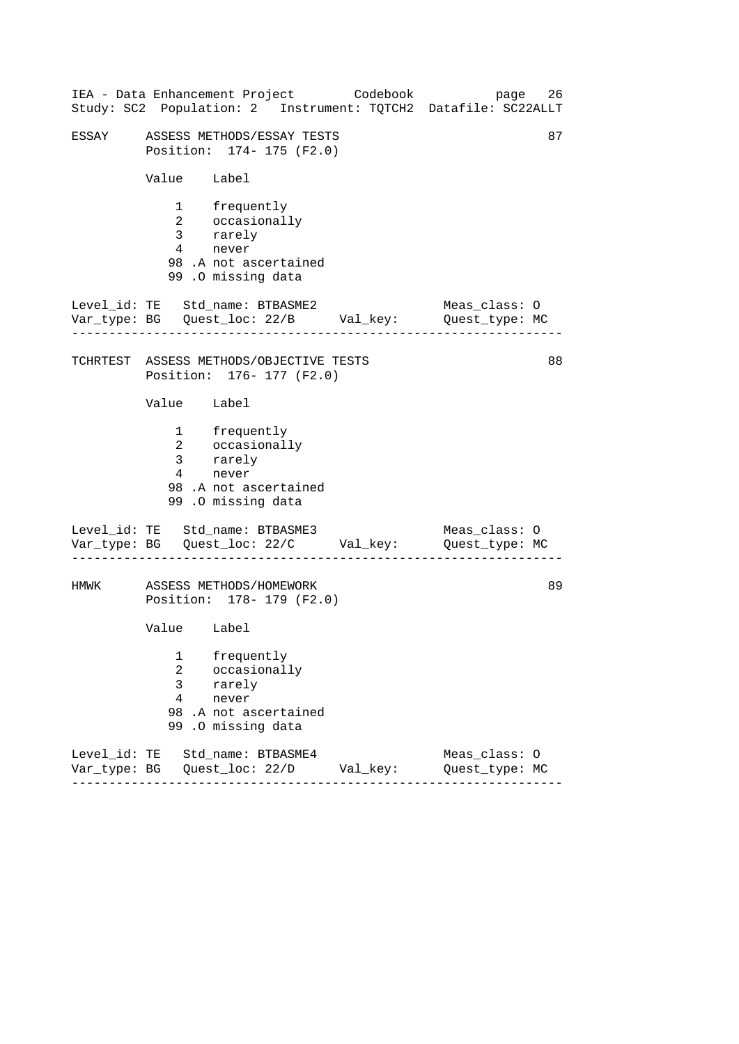|       |                                                               | IEA - Data Enhancement Project Codebook<br>Study: SC2 Population: 2 Instrument: TQTCH2 Datafile: SC22ALLT |  | page                            | 26 |  |
|-------|---------------------------------------------------------------|-----------------------------------------------------------------------------------------------------------|--|---------------------------------|----|--|
| ESSAY | 87<br>ASSESS METHODS/ESSAY TESTS<br>Position: 174- 175 (F2.0) |                                                                                                           |  |                                 |    |  |
|       | Value Label                                                   |                                                                                                           |  |                                 |    |  |
|       | $4\degree$                                                    | 1 frequently<br>2 occasionally<br>3 rarely<br>never<br>98.A not ascertained<br>99 .O missing data         |  |                                 |    |  |
|       |                                                               | Level_id: TE Std_name: BTBASME2<br>Var_type: BG    Quest_loc: 22/B    Val_key:    Quest_type: MC          |  | Meas_class: O                   |    |  |
|       |                                                               | TCHRTEST ASSESS METHODS/OBJECTIVE TESTS<br>Position: 176- 177 (F2.0)                                      |  |                                 | 88 |  |
|       | Value Label                                                   |                                                                                                           |  |                                 |    |  |
|       |                                                               | 1 frequently<br>2 occasionally<br>3 rarely<br>4 never<br>98 .A not ascertained<br>99.0 missing data       |  |                                 |    |  |
|       |                                                               | Level_id: TE Std_name: BTBASME3<br>Var_type: BG    Quest_loc: 22/C    Val_key:    Quest_type: MC          |  | Meas_class: O                   |    |  |
| HMWK  |                                                               | ASSESS METHODS/HOMEWORK<br>Position: 178- 179 (F2.0)                                                      |  |                                 | 89 |  |
|       | Value Label                                                   |                                                                                                           |  |                                 |    |  |
|       | 1<br>$\overline{2}$<br>3<br>$\overline{4}$                    | frequently<br>occasionally<br>rarely<br>never<br>98.A not ascertained<br>99.0 missing data                |  |                                 |    |  |
|       |                                                               | Level_id: TE Std_name: BTBASME4                                                                           |  | Meas_class: 0<br>Quest_type: MC |    |  |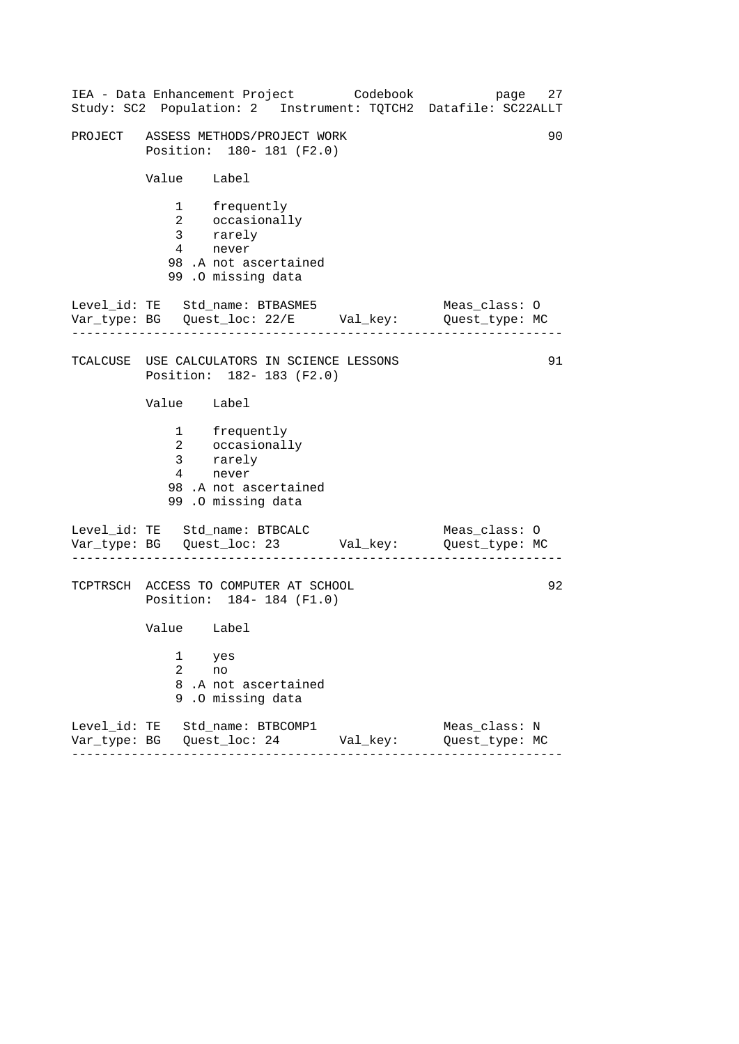------------------------------------------------------------------ ------------------------------------------------------------------ ------------------------------------------------------------------ IEA - Data Enhancement Project Codebook page 27 Study: SC2 Population: 2 Instrument: TQTCH2 Datafile: SC22ALLT PROJECT ASSESS METHODS/PROJECT WORK 90 Position: 180- 181 (F2.0) Value Label 1 frequently 2 occasionally 3 rarely 4 never 98 .A not ascertained 99 .O missing data Level\_id: TE Std\_name: BTBASME5 Meas\_class: 0 Var\_type: BG Quest\_loc: 22/E Val\_key: Quest\_type: MC TCALCUSE USE CALCULATORS IN SCIENCE LESSONS 91 Position: 182- 183 (F2.0) Value Label 1 frequently 2 occasionally 3 rarely 4 never 98 .A not ascertained 99 .O missing data Level\_id: TE Std\_name: BTBCALC Meas\_class: 0 Var\_type: BG Quest\_loc: 23 Val\_key: Quest\_type: MC TCPTRSCH ACCESS TO COMPUTER AT SCHOOL 92 Position: 184- 184 (F1.0) Value Label 1 yes 2 no 8 .A not ascertained 9 .O missing data Level\_id: TE Std\_name: BTBCOMP1 Meas\_class: N Var\_type: BG Quest\_loc: 24 Val\_key: Quest\_type: MC